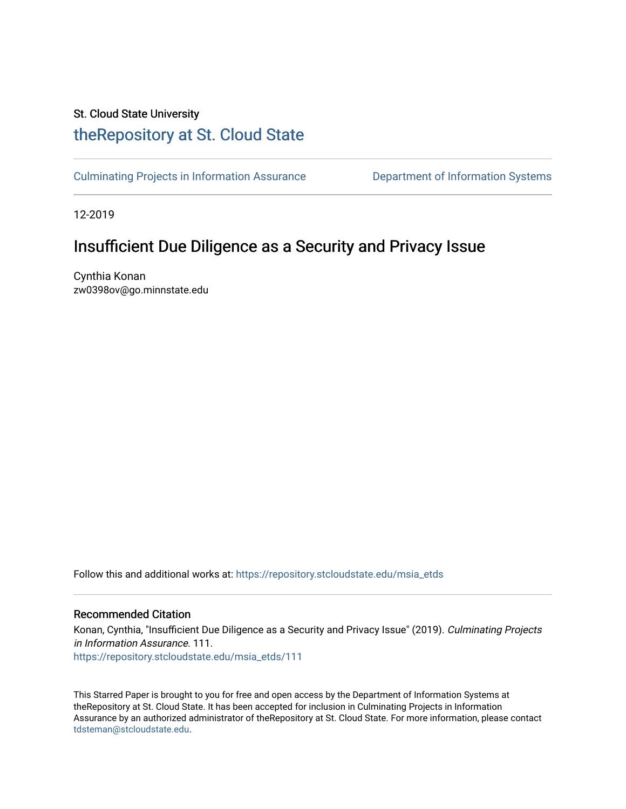# St. Cloud State University [theRepository at St. Cloud State](https://repository.stcloudstate.edu/)

[Culminating Projects in Information Assurance](https://repository.stcloudstate.edu/msia_etds) **Department of Information Systems** 

12-2019

# Insufficient Due Diligence as a Security and Privacy Issue

Cynthia Konan zw0398ov@go.minnstate.edu

Follow this and additional works at: [https://repository.stcloudstate.edu/msia\\_etds](https://repository.stcloudstate.edu/msia_etds?utm_source=repository.stcloudstate.edu%2Fmsia_etds%2F111&utm_medium=PDF&utm_campaign=PDFCoverPages)

#### Recommended Citation

Konan, Cynthia, "Insufficient Due Diligence as a Security and Privacy Issue" (2019). Culminating Projects in Information Assurance. 111. [https://repository.stcloudstate.edu/msia\\_etds/111](https://repository.stcloudstate.edu/msia_etds/111?utm_source=repository.stcloudstate.edu%2Fmsia_etds%2F111&utm_medium=PDF&utm_campaign=PDFCoverPages)

This Starred Paper is brought to you for free and open access by the Department of Information Systems at theRepository at St. Cloud State. It has been accepted for inclusion in Culminating Projects in Information Assurance by an authorized administrator of theRepository at St. Cloud State. For more information, please contact [tdsteman@stcloudstate.edu](mailto:tdsteman@stcloudstate.edu).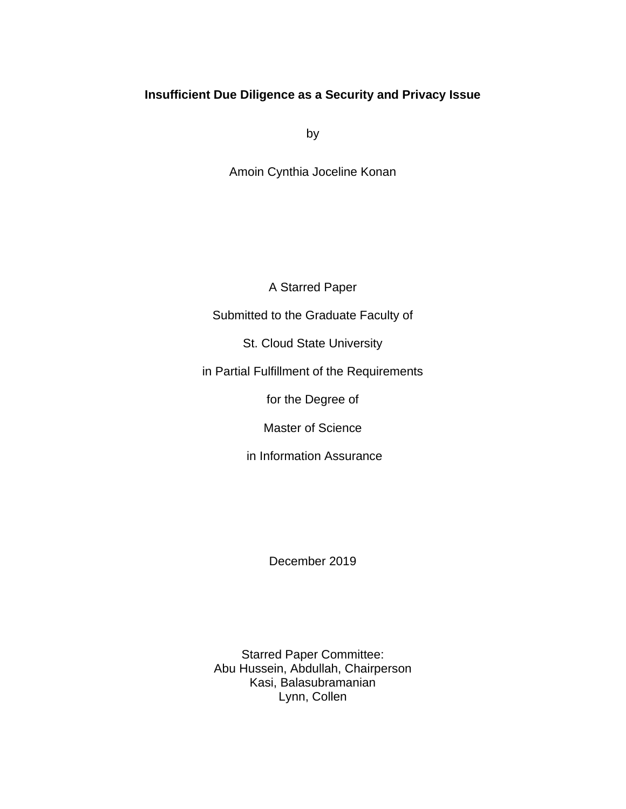# **Insufficient Due Diligence as a Security and Privacy Issue**

by

Amoin Cynthia Joceline Konan

A Starred Paper

Submitted to the Graduate Faculty of

St. Cloud State University

in Partial Fulfillment of the Requirements

for the Degree of

Master of Science

in Information Assurance

December 2019

Starred Paper Committee: Abu Hussein, Abdullah, Chairperson Kasi, Balasubramanian Lynn, Collen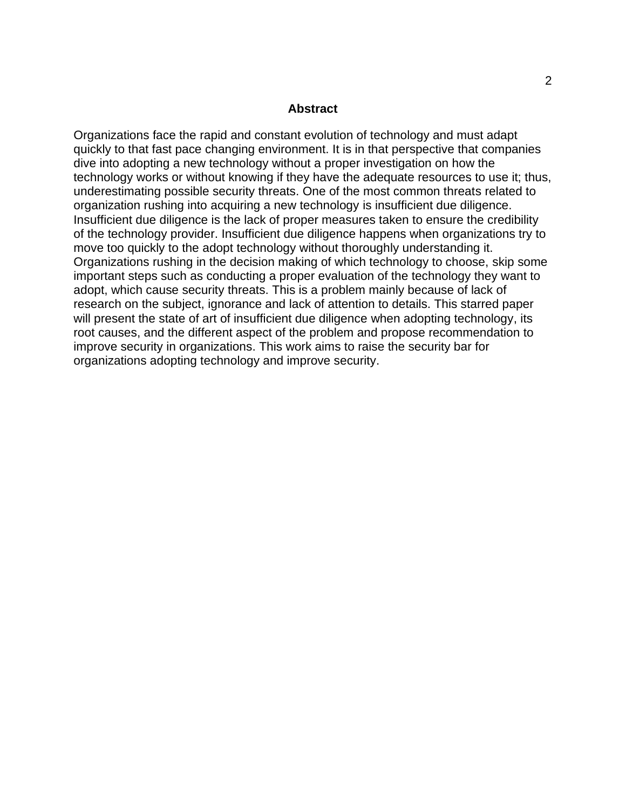#### **Abstract**

Organizations face the rapid and constant evolution of technology and must adapt quickly to that fast pace changing environment. It is in that perspective that companies dive into adopting a new technology without a proper investigation on how the technology works or without knowing if they have the adequate resources to use it; thus, underestimating possible security threats. One of the most common threats related to organization rushing into acquiring a new technology is insufficient due diligence. Insufficient due diligence is the lack of proper measures taken to ensure the credibility of the technology provider. Insufficient due diligence happens when organizations try to move too quickly to the adopt technology without thoroughly understanding it. Organizations rushing in the decision making of which technology to choose, skip some important steps such as conducting a proper evaluation of the technology they want to adopt, which cause security threats. This is a problem mainly because of lack of research on the subject, ignorance and lack of attention to details. This starred paper will present the state of art of insufficient due diligence when adopting technology, its root causes, and the different aspect of the problem and propose recommendation to improve security in organizations. This work aims to raise the security bar for organizations adopting technology and improve security.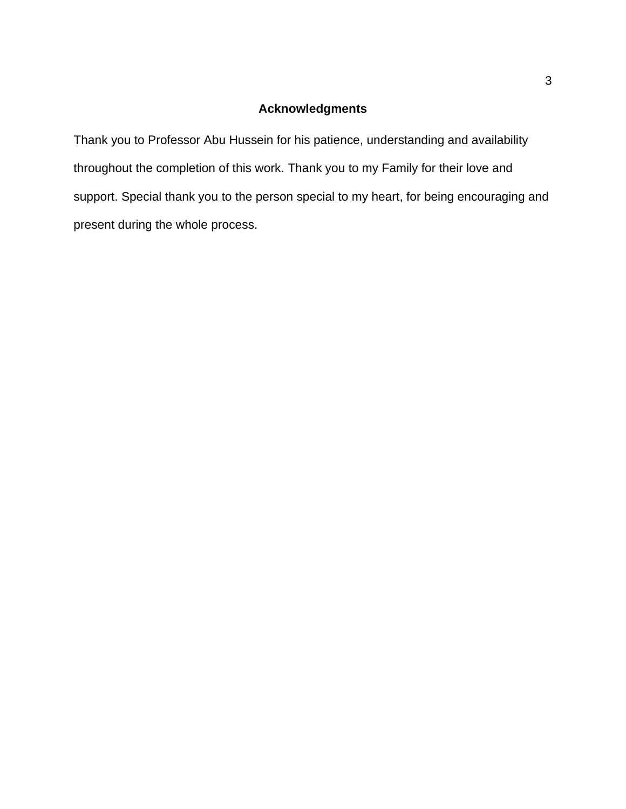# **Acknowledgments**

Thank you to Professor Abu Hussein for his patience, understanding and availability throughout the completion of this work. Thank you to my Family for their love and support. Special thank you to the person special to my heart, for being encouraging and present during the whole process.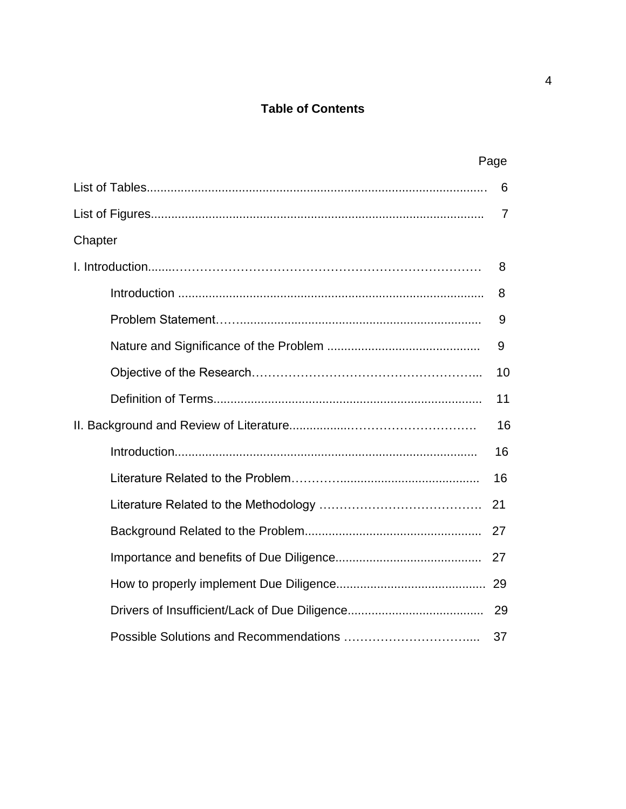# **Table of Contents**

|         | Page           |
|---------|----------------|
|         | 6              |
|         | $\overline{7}$ |
| Chapter |                |
|         | 8              |
|         | 8              |
|         | 9              |
|         | 9              |
|         | 10             |
|         | 11             |
| 16      |                |
|         | 16             |
|         | 16             |
|         | 21             |
|         | 27             |
|         | 27             |
|         |                |
|         |                |
|         | 37             |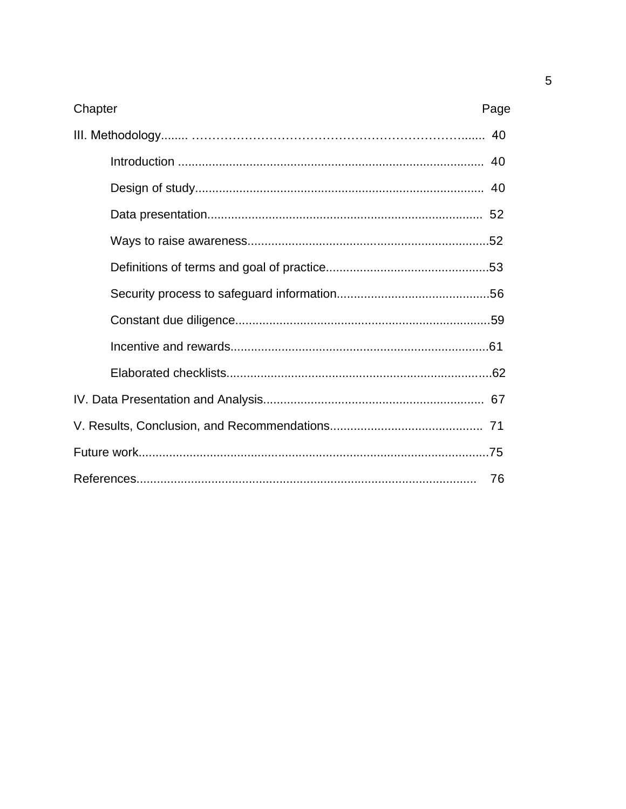| Chapter<br>Page |  |
|-----------------|--|
|                 |  |
|                 |  |
|                 |  |
|                 |  |
|                 |  |
|                 |  |
|                 |  |
|                 |  |
|                 |  |
|                 |  |
|                 |  |
|                 |  |
|                 |  |
| -76             |  |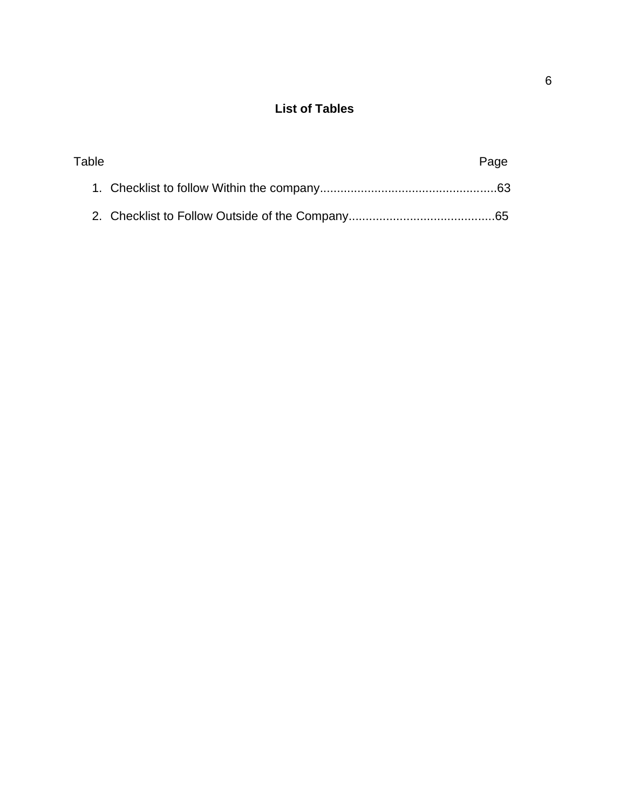# **List of Tables**

| Table | Page |
|-------|------|
|       |      |
|       |      |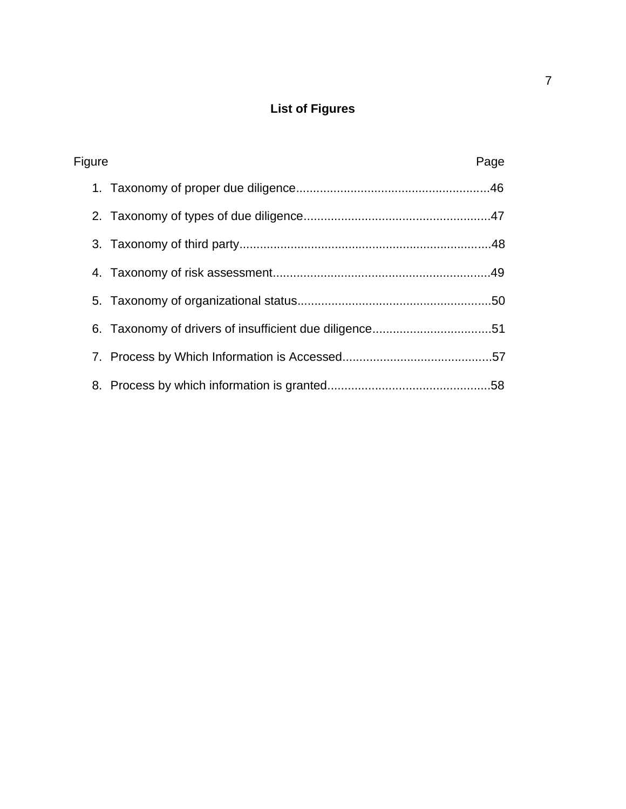# **List of Figures**

| Figure | Page |
|--------|------|
|        |      |
|        |      |
|        |      |
|        |      |
|        |      |
|        |      |
|        |      |
|        |      |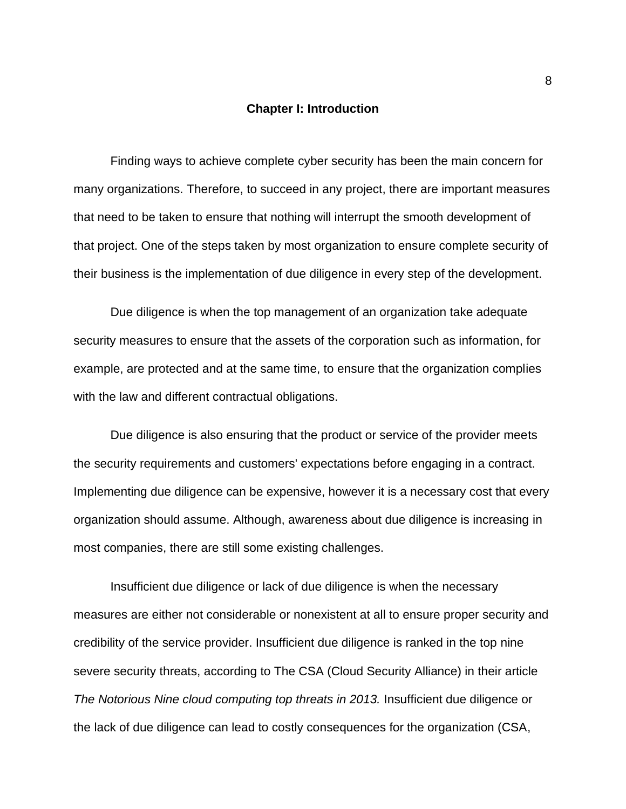#### **Chapter I: Introduction**

Finding ways to achieve complete cyber security has been the main concern for many organizations. Therefore, to succeed in any project, there are important measures that need to be taken to ensure that nothing will interrupt the smooth development of that project. One of the steps taken by most organization to ensure complete security of their business is the implementation of due diligence in every step of the development.

Due diligence is when the top management of an organization take adequate security measures to ensure that the assets of the corporation such as information, for example, are protected and at the same time, to ensure that the organization complies with the law and different contractual obligations.

Due diligence is also ensuring that the product or service of the provider meets the security requirements and customers' expectations before engaging in a contract. Implementing due diligence can be expensive, however it is a necessary cost that every organization should assume. Although, awareness about due diligence is increasing in most companies, there are still some existing challenges.

Insufficient due diligence or lack of due diligence is when the necessary measures are either not considerable or nonexistent at all to ensure proper security and credibility of the service provider. Insufficient due diligence is ranked in the top nine severe security threats, according to The CSA (Cloud Security Alliance) in their article The Notorious Nine cloud computing top threats in 2013. Insufficient due diligence or the lack of due diligence can lead to costly consequences for the organization (CSA,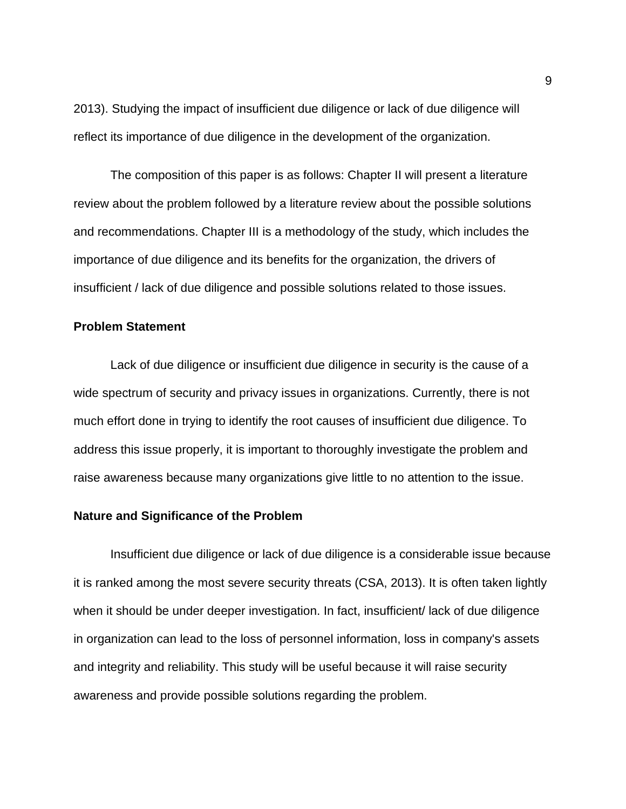2013). Studying the impact of insufficient due diligence or lack of due diligence will reflect its importance of due diligence in the development of the organization.

The composition of this paper is as follows: Chapter II will present a literature review about the problem followed by a literature review about the possible solutions and recommendations. Chapter III is a methodology of the study, which includes the importance of due diligence and its benefits for the organization, the drivers of insufficient / lack of due diligence and possible solutions related to those issues.

# **Problem Statement**

Lack of due diligence or insufficient due diligence in security is the cause of a wide spectrum of security and privacy issues in organizations. Currently, there is not much effort done in trying to identify the root causes of insufficient due diligence. To address this issue properly, it is important to thoroughly investigate the problem and raise awareness because many organizations give little to no attention to the issue.

#### **Nature and Significance of the Problem**

Insufficient due diligence or lack of due diligence is a considerable issue because it is ranked among the most severe security threats (CSA, 2013). It is often taken lightly when it should be under deeper investigation. In fact, insufficient/ lack of due diligence in organization can lead to the loss of personnel information, loss in company's assets and integrity and reliability. This study will be useful because it will raise security awareness and provide possible solutions regarding the problem.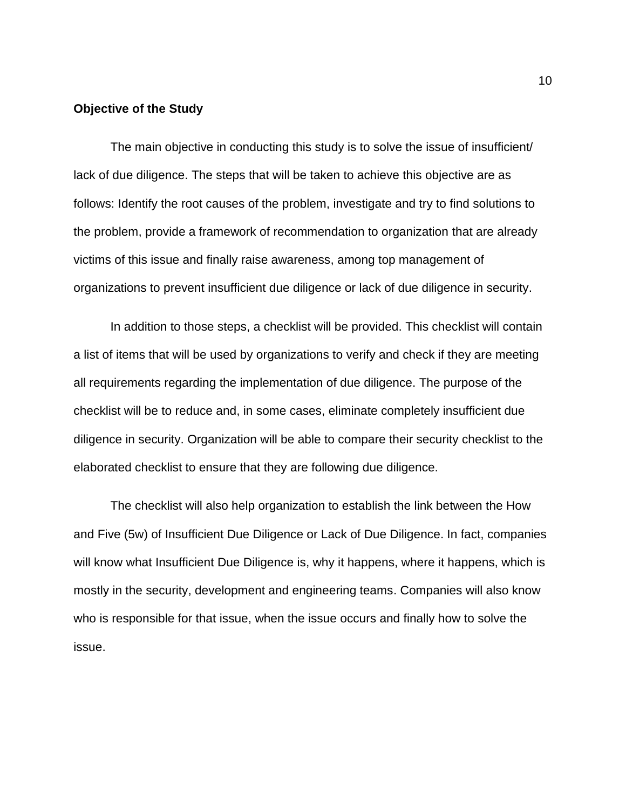# **Objective of the Study**

The main objective in conducting this study is to solve the issue of insufficient/ lack of due diligence. The steps that will be taken to achieve this objective are as follows: Identify the root causes of the problem, investigate and try to find solutions to the problem, provide a framework of recommendation to organization that are already victims of this issue and finally raise awareness, among top management of organizations to prevent insufficient due diligence or lack of due diligence in security.

In addition to those steps, a checklist will be provided. This checklist will contain a list of items that will be used by organizations to verify and check if they are meeting all requirements regarding the implementation of due diligence. The purpose of the checklist will be to reduce and, in some cases, eliminate completely insufficient due diligence in security. Organization will be able to compare their security checklist to the elaborated checklist to ensure that they are following due diligence.

The checklist will also help organization to establish the link between the How and Five (5w) of Insufficient Due Diligence or Lack of Due Diligence. In fact, companies will know what Insufficient Due Diligence is, why it happens, where it happens, which is mostly in the security, development and engineering teams. Companies will also know who is responsible for that issue, when the issue occurs and finally how to solve the issue.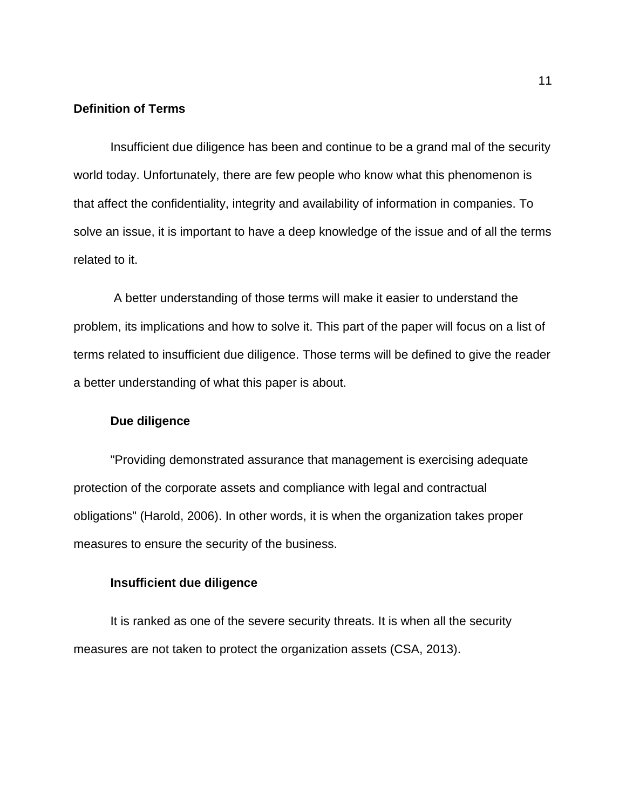# **Definition of Terms**

Insufficient due diligence has been and continue to be a grand mal of the security world today. Unfortunately, there are few people who know what this phenomenon is that affect the confidentiality, integrity and availability of information in companies. To solve an issue, it is important to have a deep knowledge of the issue and of all the terms related to it.

A better understanding of those terms will make it easier to understand the problem, its implications and how to solve it. This part of the paper will focus on a list of terms related to insufficient due diligence. Those terms will be defined to give the reader a better understanding of what this paper is about.

#### **Due diligence**

"Providing demonstrated assurance that management is exercising adequate protection of the corporate assets and compliance with legal and contractual obligations" (Harold, 2006). In other words, it is when the organization takes proper measures to ensure the security of the business.

#### **Insufficient due diligence**

It is ranked as one of the severe security threats. It is when all the security measures are not taken to protect the organization assets (CSA, 2013).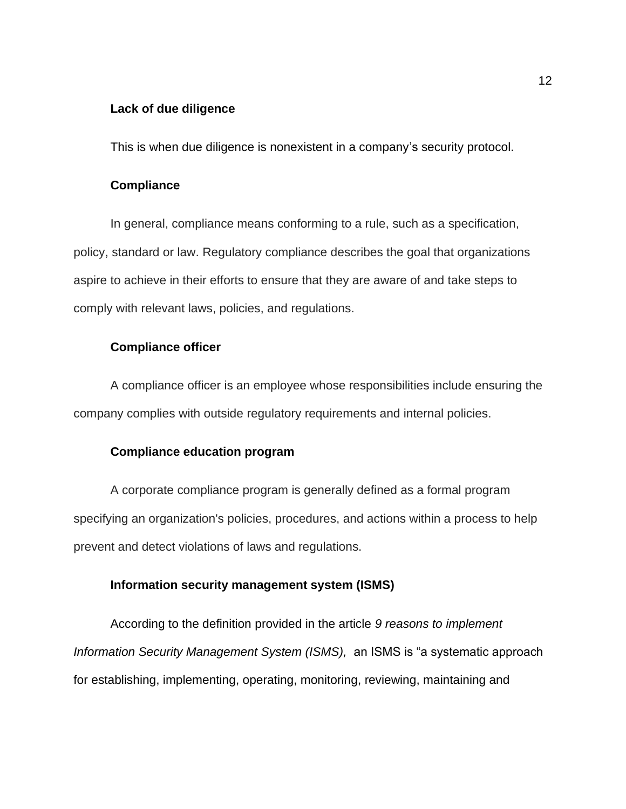# **Lack of due diligence**

This is when due diligence is nonexistent in a company's security protocol.

# **Compliance**

In general, compliance means conforming to a rule, such as a specification, policy, standard or law. Regulatory compliance describes the goal that organizations aspire to achieve in their efforts to ensure that they are aware of and take steps to comply with relevant laws, policies, and regulations.

#### **Compliance officer**

A compliance officer is an employee whose responsibilities include ensuring the company complies with outside regulatory requirements and internal policies.

# **Compliance education program**

A corporate compliance program is generally defined as a formal program specifying an organization's policies, procedures, and actions within a process to help prevent and detect violations of laws and regulations.

# **Information security management system (ISMS)**

According to the definition provided in the article *9 reasons to implement Information Security Management System (ISMS),* an ISMS is "a systematic approach for establishing, implementing, operating, monitoring, reviewing, maintaining and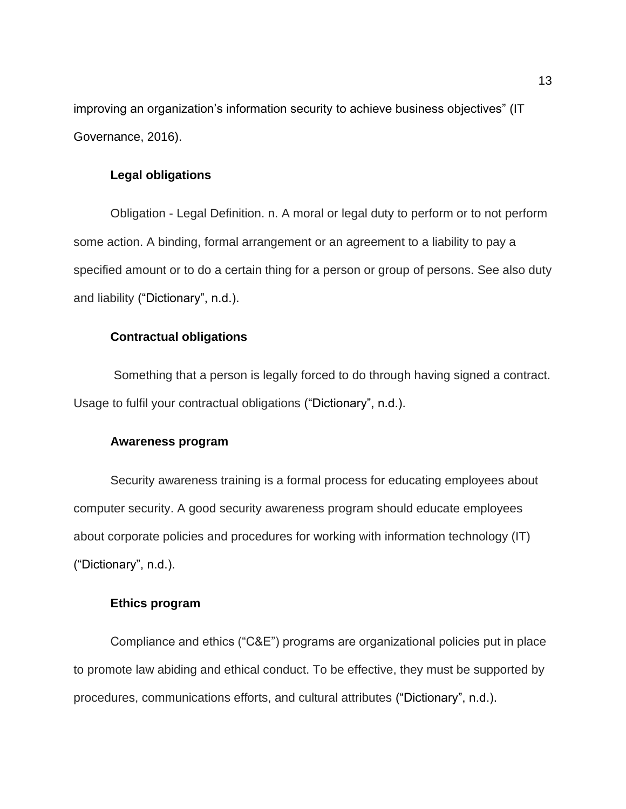improving an organization's information security to achieve business objectives" (IT Governance, 2016).

# **Legal obligations**

Obligation - Legal Definition. n. A moral or legal duty to perform or to not perform some action. A binding, formal arrangement or an agreement to a liability to pay a specified amount or to do a certain thing for a person or group of persons. See also duty and liability ("Dictionary", n.d.).

# **Contractual obligations**

Something that a person is legally forced to do through having signed a contract. Usage to fulfil your contractual obligations ("Dictionary", n.d.).

#### **Awareness program**

Security awareness training is a formal process for educating employees about computer security. A good security awareness program should educate employees about corporate policies and procedures for working with information technology (IT) ("Dictionary", n.d.).

#### **Ethics program**

Compliance and ethics ("C&E") programs are organizational policies put in place to promote law abiding and ethical conduct. To be effective, they must be supported by procedures, communications efforts, and cultural attributes ("Dictionary", n.d.).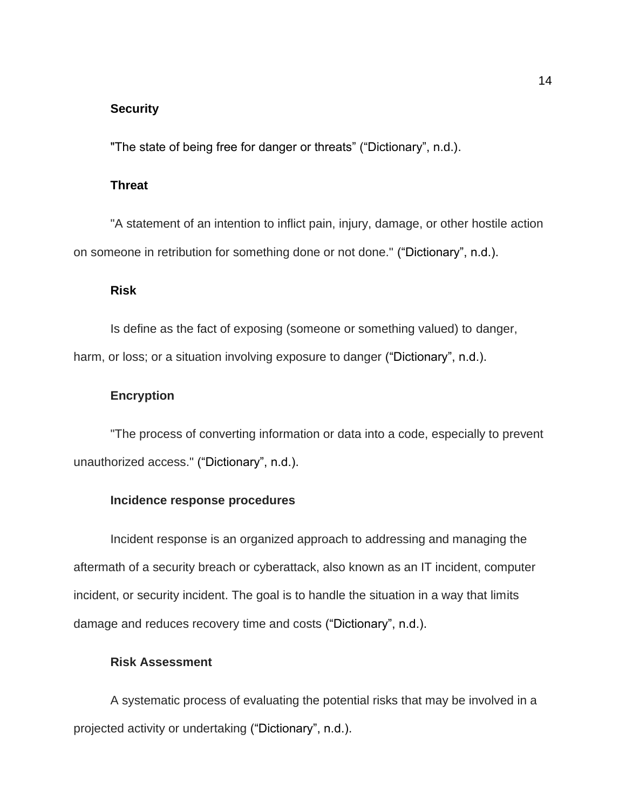# **Security**

"The state of being free for danger or threats" ("Dictionary", n.d.).

# **Threat**

"A statement of an intention to inflict pain, injury, damage, or other hostile action on someone in retribution for something done or not done." ("Dictionary", n.d.).

# **Risk**

Is define as the fact of exposing (someone or something valued) to danger, harm, or loss; or a situation involving exposure to danger ("Dictionary", n.d.).

# **Encryption**

"The process of converting information or data into a code, especially to prevent unauthorized access." ("Dictionary", n.d.).

# **Incidence response procedures**

Incident response is an organized approach to addressing and managing the aftermath of a security breach or cyberattack, also known as an IT incident, computer incident, or security incident. The goal is to handle the situation in a way that limits damage and reduces recovery time and costs ("Dictionary", n.d.).

#### **Risk Assessment**

A systematic process of evaluating the potential risks that may be involved in a projected activity or undertaking ("Dictionary", n.d.).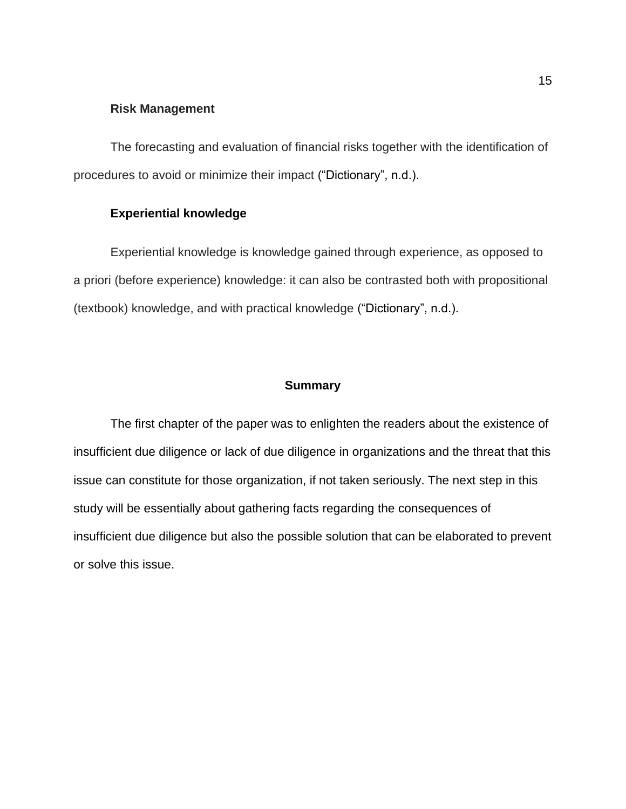#### **Risk Management**

The forecasting and evaluation of financial risks together with the identification of procedures to avoid or minimize their impact ("Dictionary", n.d.).

# **Experiential knowledge**

Experiential knowledge is knowledge gained through experience, as opposed to a priori (before experience) knowledge: it can also be contrasted both with propositional (textbook) knowledge, and with practical knowledge ("Dictionary", n.d.).

#### **Summary**

The first chapter of the paper was to enlighten the readers about the existence of insufficient due diligence or lack of due diligence in organizations and the threat that this issue can constitute for those organization, if not taken seriously. The next step in this study will be essentially about gathering facts regarding the consequences of insufficient due diligence but also the possible solution that can be elaborated to prevent or solve this issue.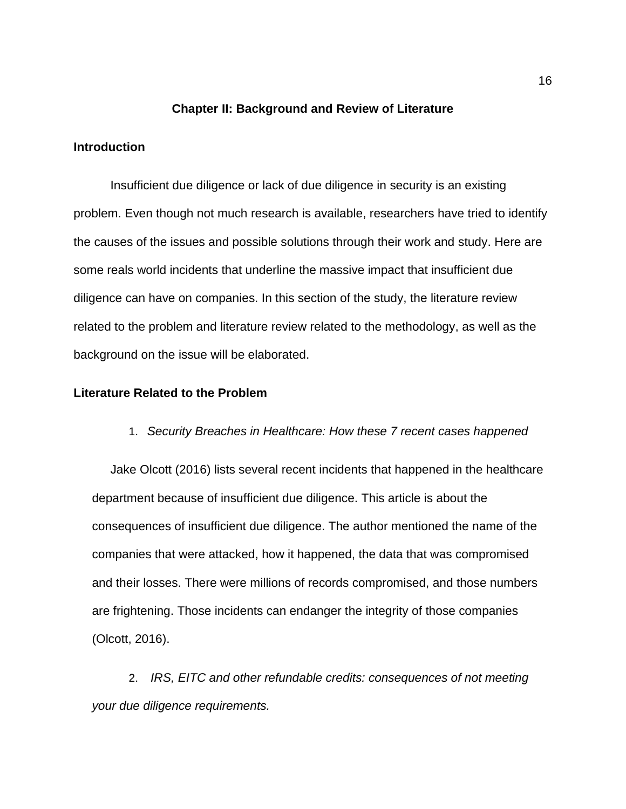#### **Chapter II: Background and Review of Literature**

#### **Introduction**

Insufficient due diligence or lack of due diligence in security is an existing problem. Even though not much research is available, researchers have tried to identify the causes of the issues and possible solutions through their work and study. Here are some reals world incidents that underline the massive impact that insufficient due diligence can have on companies. In this section of the study, the literature review related to the problem and literature review related to the methodology, as well as the background on the issue will be elaborated.

# **Literature Related to the Problem**

#### 1. *Security Breaches in Healthcare: How these 7 recent cases happened*

Jake Olcott (2016) lists several recent incidents that happened in the healthcare department because of insufficient due diligence. This article is about the consequences of insufficient due diligence. The author mentioned the name of the companies that were attacked, how it happened, the data that was compromised and their losses. There were millions of records compromised, and those numbers are frightening. Those incidents can endanger the integrity of those companies (Olcott, 2016).

2. *IRS, EITC and other refundable credits: consequences of not meeting your due diligence requirements.*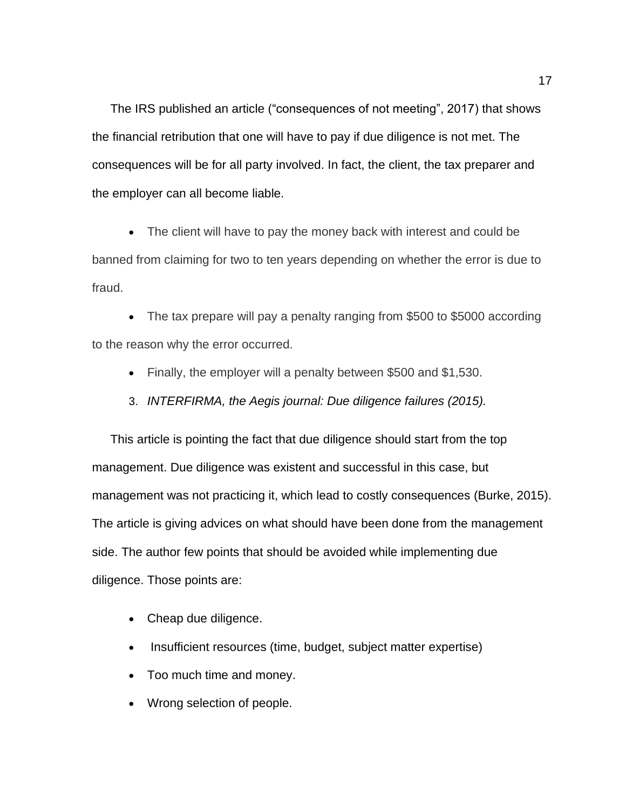The IRS published an article ("consequences of not meeting", 2017) that shows the financial retribution that one will have to pay if due diligence is not met. The consequences will be for all party involved. In fact, the client, the tax preparer and the employer can all become liable.

• The client will have to pay the money back with interest and could be banned from claiming for two to ten years depending on whether the error is due to fraud.

• The tax prepare will pay a penalty ranging from \$500 to \$5000 according to the reason why the error occurred.

- Finally, the employer will a penalty between \$500 and \$1,530.
- 3. *INTERFIRMA, the Aegis journal: Due diligence failures (2015).*

This article is pointing the fact that due diligence should start from the top management. Due diligence was existent and successful in this case, but management was not practicing it, which lead to costly consequences (Burke, 2015). The article is giving advices on what should have been done from the management side. The author few points that should be avoided while implementing due diligence. Those points are:

- Cheap due diligence.
- Insufficient resources (time, budget, subject matter expertise)
- Too much time and money.
- Wrong selection of people.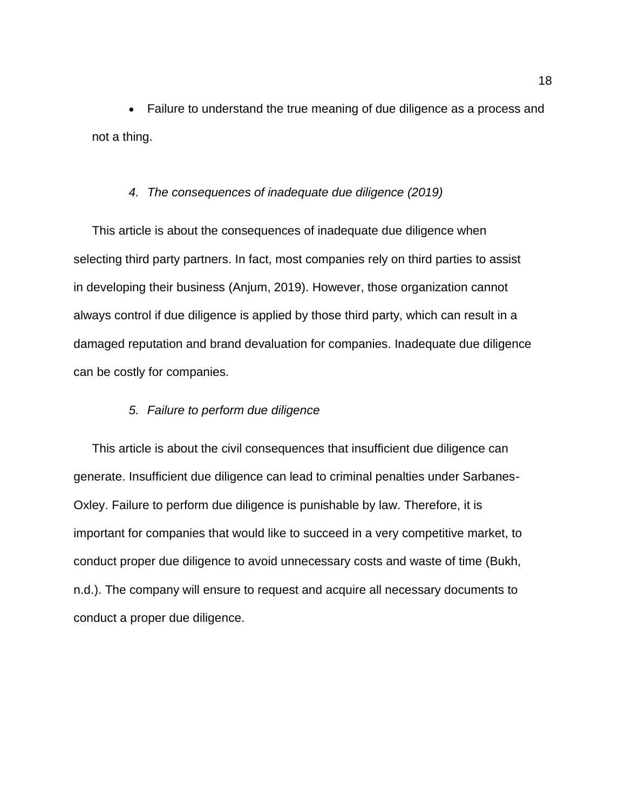• Failure to understand the true meaning of due diligence as a process and not a thing.

# *4. The consequences of inadequate due diligence (2019)*

This article is about the consequences of inadequate due diligence when selecting third party partners. In fact, most companies rely on third parties to assist in developing their business (Anjum, 2019). However, those organization cannot always control if due diligence is applied by those third party, which can result in a damaged reputation and brand devaluation for companies. Inadequate due diligence can be costly for companies.

# *5. Failure to perform due diligence*

This article is about the civil consequences that insufficient due diligence can generate. Insufficient due diligence can lead to criminal penalties under Sarbanes-Oxley. Failure to perform due diligence is punishable by law. Therefore, it is important for companies that would like to succeed in a very competitive market, to conduct proper due diligence to avoid unnecessary costs and waste of time (Bukh, n.d.). The company will ensure to request and acquire all necessary documents to conduct a proper due diligence.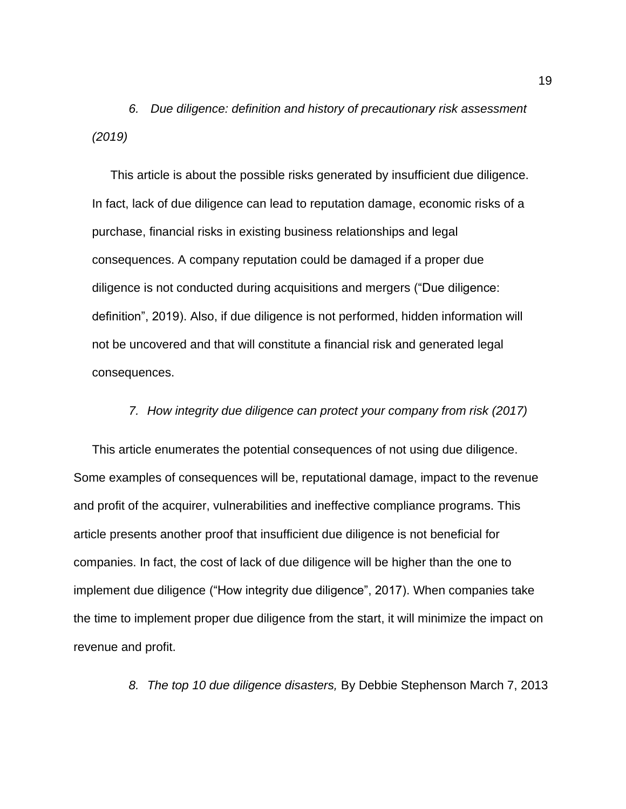*6. Due diligence: definition and history of precautionary risk assessment (2019)*

This article is about the possible risks generated by insufficient due diligence. In fact, lack of due diligence can lead to reputation damage, economic risks of a purchase, financial risks in existing business relationships and legal consequences. A company reputation could be damaged if a proper due diligence is not conducted during acquisitions and mergers ("Due diligence: definition", 2019). Also, if due diligence is not performed, hidden information will not be uncovered and that will constitute a financial risk and generated legal consequences.

# *7. How integrity due diligence can protect your company from risk (2017)*

This article enumerates the potential consequences of not using due diligence. Some examples of consequences will be, reputational damage, impact to the revenue and profit of the acquirer, vulnerabilities and ineffective compliance programs. This article presents another proof that insufficient due diligence is not beneficial for companies. In fact, the cost of lack of due diligence will be higher than the one to implement due diligence ("How integrity due diligence", 2017). When companies take the time to implement proper due diligence from the start, it will minimize the impact on revenue and profit.

*8. The top 10 due diligence disasters,* By Debbie Stephenson March 7, 2013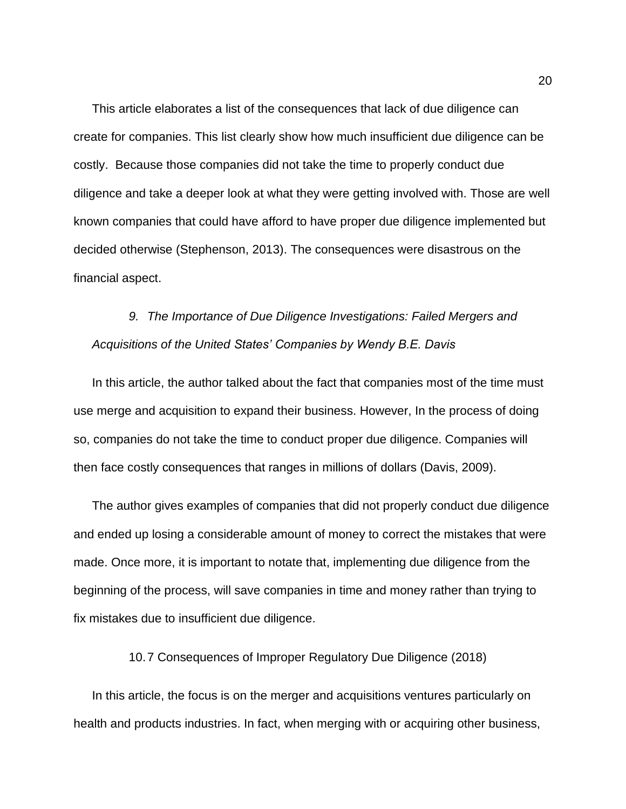This article elaborates a list of the consequences that lack of due diligence can create for companies. This list clearly show how much insufficient due diligence can be costly. Because those companies did not take the time to properly conduct due diligence and take a deeper look at what they were getting involved with. Those are well known companies that could have afford to have proper due diligence implemented but decided otherwise (Stephenson, 2013). The consequences were disastrous on the financial aspect.

# *9. The Importance of Due Diligence Investigations: Failed Mergers and Acquisitions of the United States' Companies by Wendy B.E. Davis*

In this article, the author talked about the fact that companies most of the time must use merge and acquisition to expand their business. However, In the process of doing so, companies do not take the time to conduct proper due diligence. Companies will then face costly consequences that ranges in millions of dollars (Davis, 2009).

The author gives examples of companies that did not properly conduct due diligence and ended up losing a considerable amount of money to correct the mistakes that were made. Once more, it is important to notate that, implementing due diligence from the beginning of the process, will save companies in time and money rather than trying to fix mistakes due to insufficient due diligence.

10.7 Consequences of Improper Regulatory Due Diligence (2018)

In this article, the focus is on the merger and acquisitions ventures particularly on health and products industries. In fact, when merging with or acquiring other business,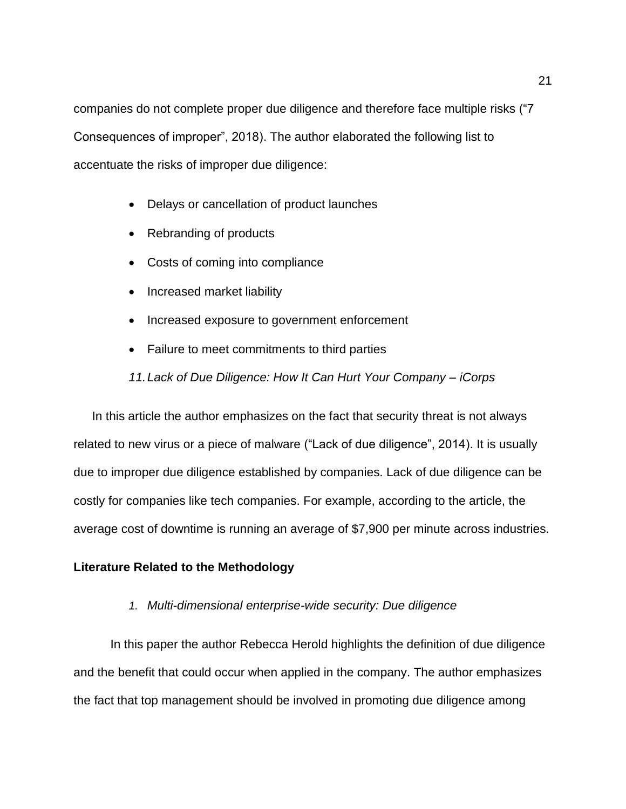companies do not complete proper due diligence and therefore face multiple risks ("7 Consequences of improper", 2018). The author elaborated the following list to accentuate the risks of improper due diligence:

- Delays or cancellation of product launches
- Rebranding of products
- Costs of coming into compliance
- Increased market liability
- Increased exposure to government enforcement
- Failure to meet commitments to third parties

*11.Lack of Due Diligence: How It Can Hurt Your Company – iCorps*

In this article the author emphasizes on the fact that security threat is not always related to new virus or a piece of malware ("Lack of due diligence", 2014). It is usually due to improper due diligence established by companies. Lack of due diligence can be costly for companies like tech companies. For example, according to the article, the average cost of downtime is running an average of \$7,900 per minute across industries.

# **Literature Related to the Methodology**

*1. Multi-dimensional enterprise-wide security: Due diligence* 

In this paper the author Rebecca Herold highlights the definition of due diligence and the benefit that could occur when applied in the company. The author emphasizes the fact that top management should be involved in promoting due diligence among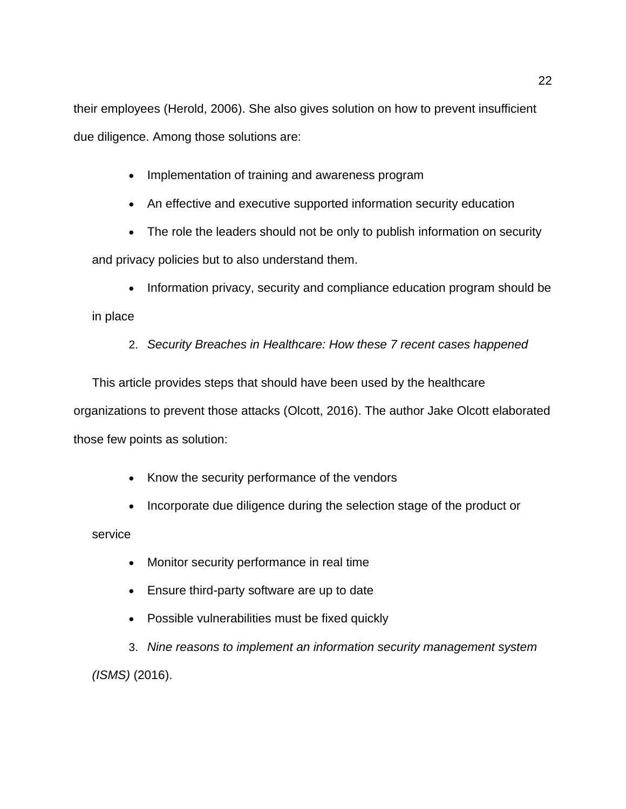their employees (Herold, 2006). She also gives solution on how to prevent insufficient due diligence. Among those solutions are:

- Implementation of training and awareness program
- An effective and executive supported information security education
- The role the leaders should not be only to publish information on security

and privacy policies but to also understand them.

• Information privacy, security and compliance education program should be in place

2. *Security Breaches in Healthcare: How these 7 recent cases happened*

This article provides steps that should have been used by the healthcare organizations to prevent those attacks (Olcott, 2016). The author Jake Olcott elaborated those few points as solution:

- Know the security performance of the vendors
- Incorporate due diligence during the selection stage of the product or

service

- Monitor security performance in real time
- Ensure third-party software are up to date
- Possible vulnerabilities must be fixed quickly

3. *Nine reasons to implement an information security management system (ISMS)* (2016).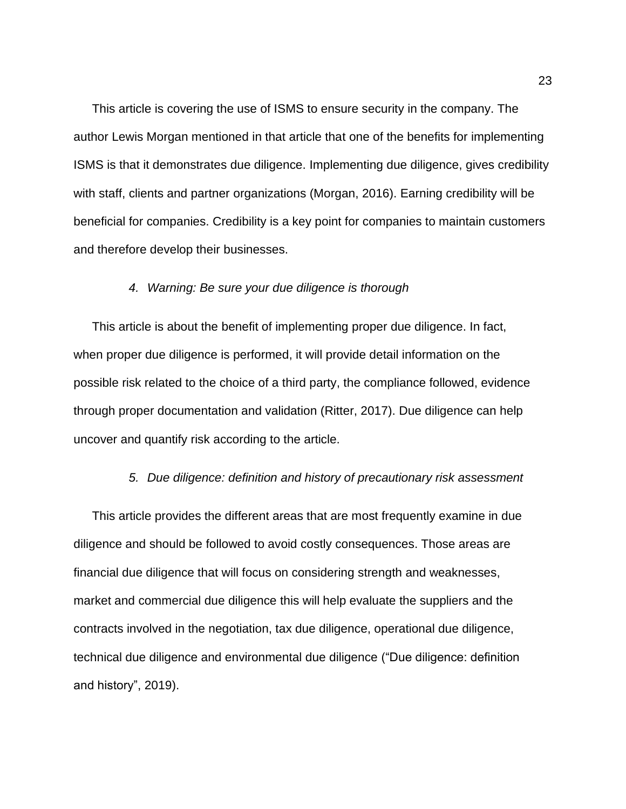This article is covering the use of ISMS to ensure security in the company. The author Lewis Morgan mentioned in that article that one of the benefits for implementing ISMS is that it demonstrates due diligence. Implementing due diligence, gives credibility with staff, clients and partner organizations (Morgan, 2016). Earning credibility will be beneficial for companies. Credibility is a key point for companies to maintain customers and therefore develop their businesses.

# *4. Warning: Be sure your due diligence is thorough*

This article is about the benefit of implementing proper due diligence. In fact, when proper due diligence is performed, it will provide detail information on the possible risk related to the choice of a third party, the compliance followed, evidence through proper documentation and validation (Ritter, 2017). Due diligence can help uncover and quantify risk according to the article.

# *5. Due diligence: definition and history of precautionary risk assessment*

This article provides the different areas that are most frequently examine in due diligence and should be followed to avoid costly consequences. Those areas are financial due diligence that will focus on considering strength and weaknesses, market and commercial due diligence this will help evaluate the suppliers and the contracts involved in the negotiation, tax due diligence, operational due diligence, technical due diligence and environmental due diligence ("Due diligence: definition and history", 2019).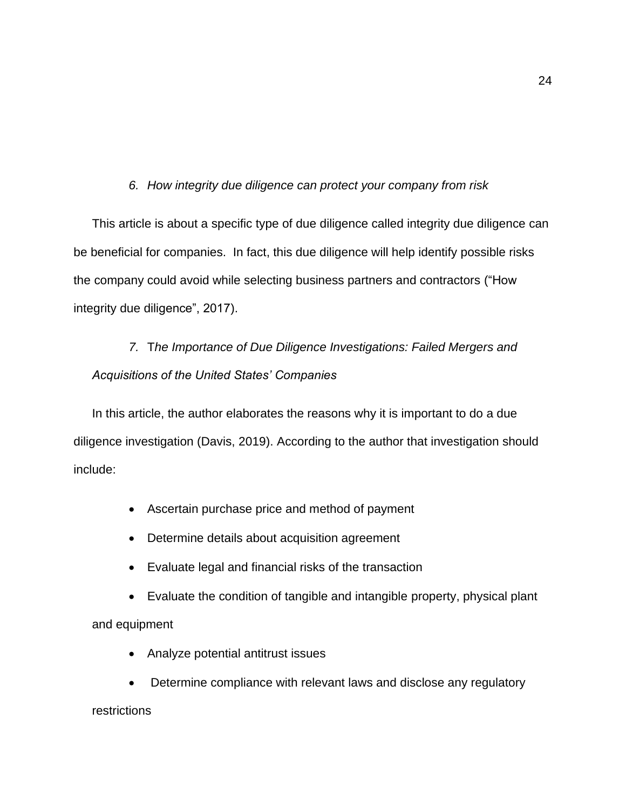# *6. How integrity due diligence can protect your company from risk*

This article is about a specific type of due diligence called integrity due diligence can be beneficial for companies. In fact, this due diligence will help identify possible risks the company could avoid while selecting business partners and contractors ("How integrity due diligence", 2017).

# *7.* T*he Importance of Due Diligence Investigations: Failed Mergers and Acquisitions of the United States' Companies*

In this article, the author elaborates the reasons why it is important to do a due diligence investigation (Davis, 2019). According to the author that investigation should include:

- Ascertain purchase price and method of payment
- Determine details about acquisition agreement
- Evaluate legal and financial risks of the transaction
- Evaluate the condition of tangible and intangible property, physical plant and equipment
	- Analyze potential antitrust issues
	- Determine compliance with relevant laws and disclose any regulatory

# restrictions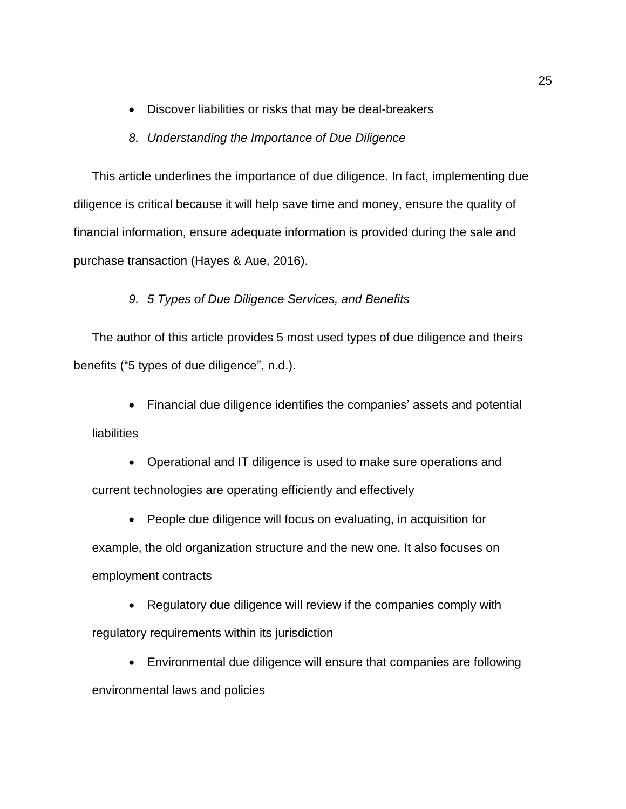• Discover liabilities or risks that may be deal-breakers

# *8. Understanding the Importance of Due Diligence*

This article underlines the importance of due diligence. In fact, implementing due diligence is critical because it will help save time and money, ensure the quality of financial information, ensure adequate information is provided during the sale and purchase transaction (Hayes & Aue, 2016).

# *9. 5 Types of Due Diligence Services, and Benefits*

The author of this article provides 5 most used types of due diligence and theirs benefits ("5 types of due diligence", n.d.).

• Financial due diligence identifies the companies' assets and potential liabilities

• Operational and IT diligence is used to make sure operations and current technologies are operating efficiently and effectively

• People due diligence will focus on evaluating, in acquisition for example, the old organization structure and the new one. It also focuses on employment contracts

• Regulatory due diligence will review if the companies comply with regulatory requirements within its jurisdiction

• Environmental due diligence will ensure that companies are following

environmental laws and policies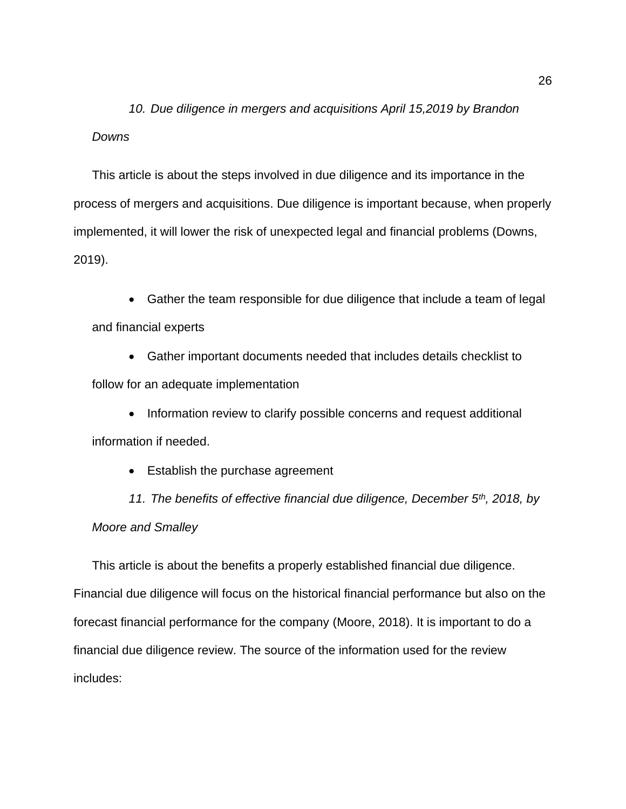*10. Due diligence in mergers and acquisitions April 15,2019 by Brandon Downs*

This article is about the steps involved in due diligence and its importance in the process of mergers and acquisitions. Due diligence is important because, when properly implemented, it will lower the risk of unexpected legal and financial problems (Downs, 2019).

• Gather the team responsible for due diligence that include a team of legal and financial experts

• Gather important documents needed that includes details checklist to follow for an adequate implementation

• Information review to clarify possible concerns and request additional information if needed.

• Establish the purchase agreement

*11. The benefits of effective financial due diligence, December 5th, 2018, by Moore and Smalley*

This article is about the benefits a properly established financial due diligence. Financial due diligence will focus on the historical financial performance but also on the forecast financial performance for the company (Moore, 2018). It is important to do a financial due diligence review. The source of the information used for the review includes: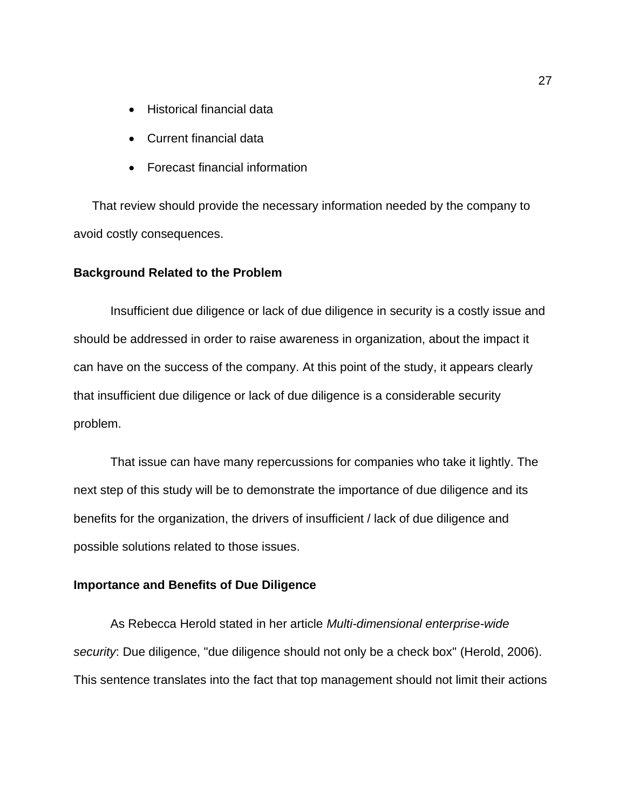- Historical financial data
- Current financial data
- Forecast financial information

That review should provide the necessary information needed by the company to avoid costly consequences.

#### **Background Related to the Problem**

Insufficient due diligence or lack of due diligence in security is a costly issue and should be addressed in order to raise awareness in organization, about the impact it can have on the success of the company. At this point of the study, it appears clearly that insufficient due diligence or lack of due diligence is a considerable security problem.

That issue can have many repercussions for companies who take it lightly. The next step of this study will be to demonstrate the importance of due diligence and its benefits for the organization, the drivers of insufficient / lack of due diligence and possible solutions related to those issues.

# **Importance and Benefits of Due Diligence**

As Rebecca Herold stated in her article *Multi-dimensional enterprise-wide security*: Due diligence, "due diligence should not only be a check box" (Herold, 2006). This sentence translates into the fact that top management should not limit their actions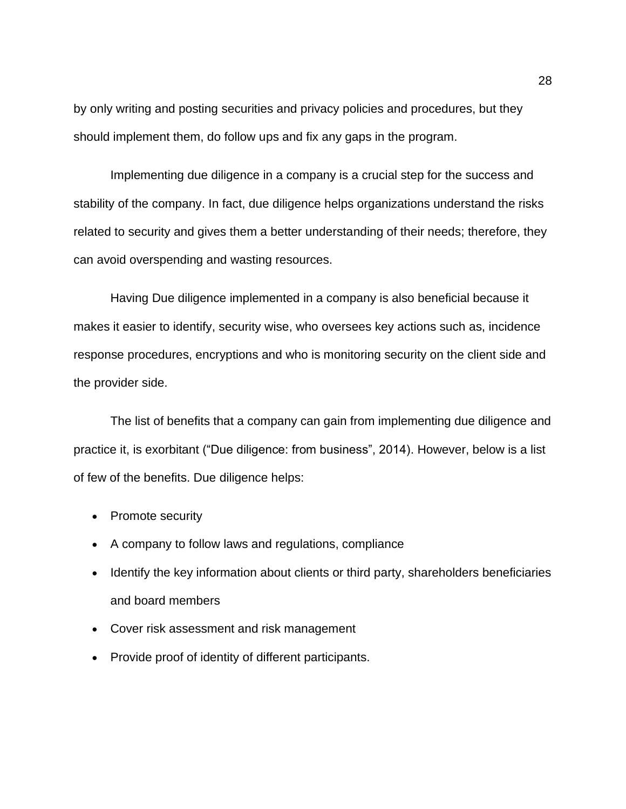by only writing and posting securities and privacy policies and procedures, but they should implement them, do follow ups and fix any gaps in the program.

Implementing due diligence in a company is a crucial step for the success and stability of the company. In fact, due diligence helps organizations understand the risks related to security and gives them a better understanding of their needs; therefore, they can avoid overspending and wasting resources.

Having Due diligence implemented in a company is also beneficial because it makes it easier to identify, security wise, who oversees key actions such as, incidence response procedures, encryptions and who is monitoring security on the client side and the provider side.

The list of benefits that a company can gain from implementing due diligence and practice it, is exorbitant ("Due diligence: from business", 2014). However, below is a list of few of the benefits. Due diligence helps:

- Promote security
- A company to follow laws and regulations, compliance
- Identify the key information about clients or third party, shareholders beneficiaries and board members
- Cover risk assessment and risk management
- Provide proof of identity of different participants.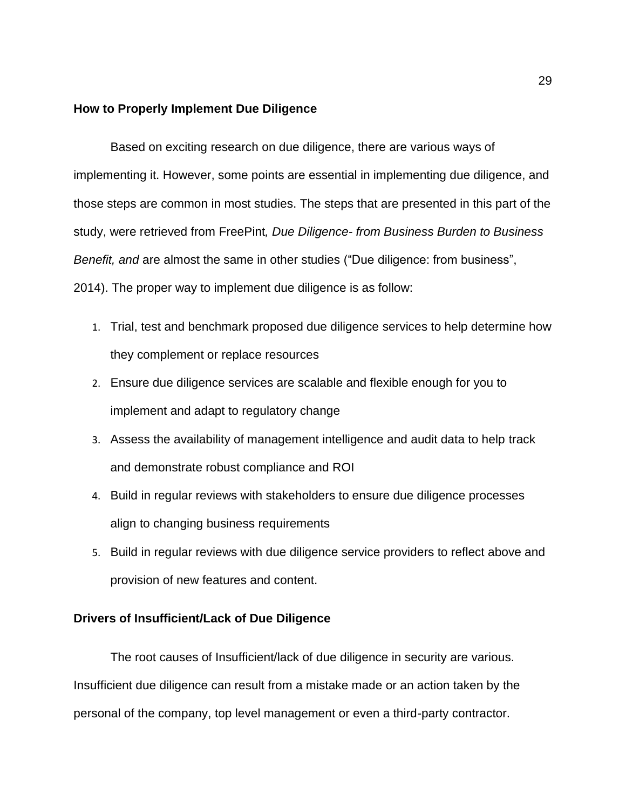#### **How to Properly Implement Due Diligence**

Based on exciting research on due diligence, there are various ways of implementing it. However, some points are essential in implementing due diligence, and those steps are common in most studies. The steps that are presented in this part of the study, were retrieved from FreePint*, Due Diligence- from Business Burden to Business Benefit, and* are almost the same in other studies ("Due diligence: from business", 2014). The proper way to implement due diligence is as follow:

- 1. Trial, test and benchmark proposed due diligence services to help determine how they complement or replace resources
- 2. Ensure due diligence services are scalable and flexible enough for you to implement and adapt to regulatory change
- 3. Assess the availability of management intelligence and audit data to help track and demonstrate robust compliance and ROI
- 4. Build in regular reviews with stakeholders to ensure due diligence processes align to changing business requirements
- 5. Build in regular reviews with due diligence service providers to reflect above and provision of new features and content.

# **Drivers of Insufficient/Lack of Due Diligence**

The root causes of Insufficient/lack of due diligence in security are various. Insufficient due diligence can result from a mistake made or an action taken by the personal of the company, top level management or even a third-party contractor.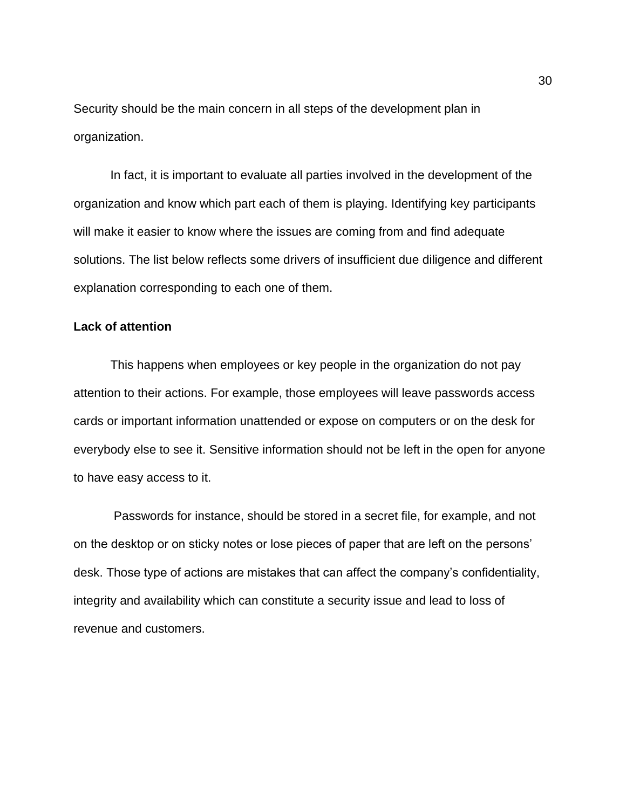Security should be the main concern in all steps of the development plan in organization.

In fact, it is important to evaluate all parties involved in the development of the organization and know which part each of them is playing. Identifying key participants will make it easier to know where the issues are coming from and find adequate solutions. The list below reflects some drivers of insufficient due diligence and different explanation corresponding to each one of them.

# **Lack of attention**

This happens when employees or key people in the organization do not pay attention to their actions. For example, those employees will leave passwords access cards or important information unattended or expose on computers or on the desk for everybody else to see it. Sensitive information should not be left in the open for anyone to have easy access to it.

Passwords for instance, should be stored in a secret file, for example, and not on the desktop or on sticky notes or lose pieces of paper that are left on the persons' desk. Those type of actions are mistakes that can affect the company's confidentiality, integrity and availability which can constitute a security issue and lead to loss of revenue and customers.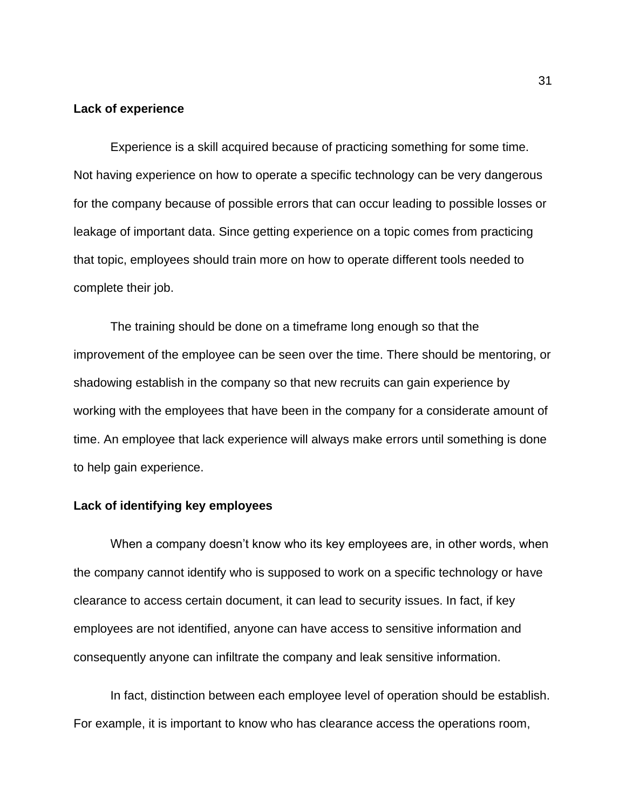#### **Lack of experience**

Experience is a skill acquired because of practicing something for some time. Not having experience on how to operate a specific technology can be very dangerous for the company because of possible errors that can occur leading to possible losses or leakage of important data. Since getting experience on a topic comes from practicing that topic, employees should train more on how to operate different tools needed to complete their job.

The training should be done on a timeframe long enough so that the improvement of the employee can be seen over the time. There should be mentoring, or shadowing establish in the company so that new recruits can gain experience by working with the employees that have been in the company for a considerate amount of time. An employee that lack experience will always make errors until something is done to help gain experience.

# **Lack of identifying key employees**

When a company doesn't know who its key employees are, in other words, when the company cannot identify who is supposed to work on a specific technology or have clearance to access certain document, it can lead to security issues. In fact, if key employees are not identified, anyone can have access to sensitive information and consequently anyone can infiltrate the company and leak sensitive information.

In fact, distinction between each employee level of operation should be establish. For example, it is important to know who has clearance access the operations room,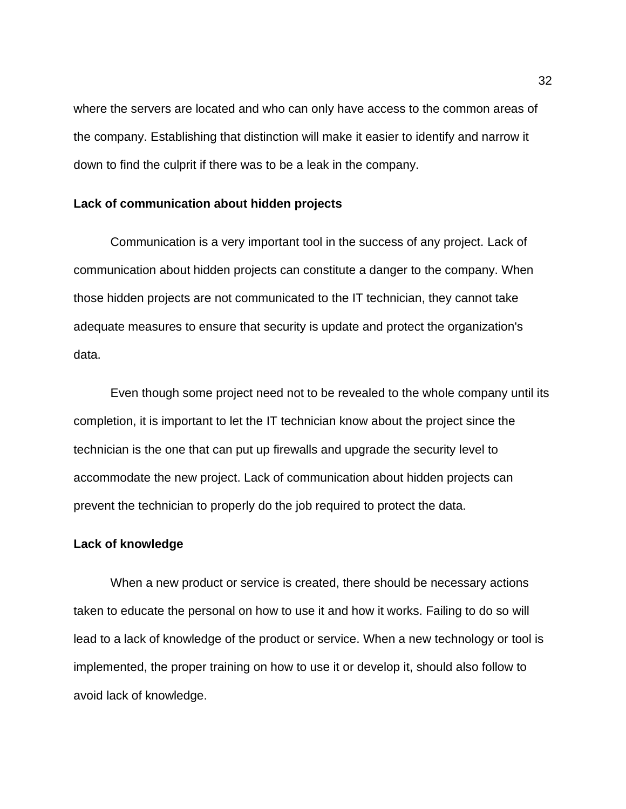where the servers are located and who can only have access to the common areas of the company. Establishing that distinction will make it easier to identify and narrow it down to find the culprit if there was to be a leak in the company.

# **Lack of communication about hidden projects**

Communication is a very important tool in the success of any project. Lack of communication about hidden projects can constitute a danger to the company. When those hidden projects are not communicated to the IT technician, they cannot take adequate measures to ensure that security is update and protect the organization's data.

Even though some project need not to be revealed to the whole company until its completion, it is important to let the IT technician know about the project since the technician is the one that can put up firewalls and upgrade the security level to accommodate the new project. Lack of communication about hidden projects can prevent the technician to properly do the job required to protect the data.

#### **Lack of knowledge**

When a new product or service is created, there should be necessary actions taken to educate the personal on how to use it and how it works. Failing to do so will lead to a lack of knowledge of the product or service. When a new technology or tool is implemented, the proper training on how to use it or develop it, should also follow to avoid lack of knowledge.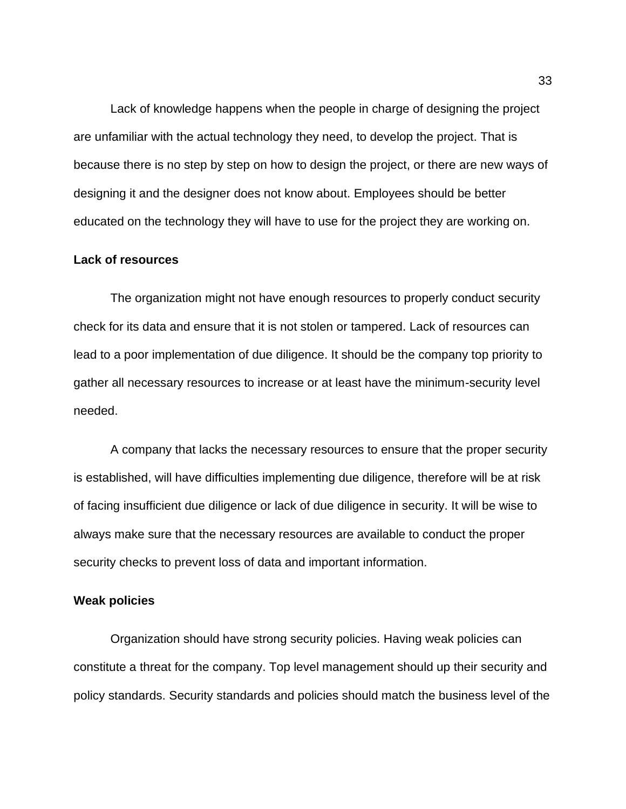Lack of knowledge happens when the people in charge of designing the project are unfamiliar with the actual technology they need, to develop the project. That is because there is no step by step on how to design the project, or there are new ways of designing it and the designer does not know about. Employees should be better educated on the technology they will have to use for the project they are working on.

# **Lack of resources**

The organization might not have enough resources to properly conduct security check for its data and ensure that it is not stolen or tampered. Lack of resources can lead to a poor implementation of due diligence. It should be the company top priority to gather all necessary resources to increase or at least have the minimum-security level needed.

A company that lacks the necessary resources to ensure that the proper security is established, will have difficulties implementing due diligence, therefore will be at risk of facing insufficient due diligence or lack of due diligence in security. It will be wise to always make sure that the necessary resources are available to conduct the proper security checks to prevent loss of data and important information.

# **Weak policies**

Organization should have strong security policies. Having weak policies can constitute a threat for the company. Top level management should up their security and policy standards. Security standards and policies should match the business level of the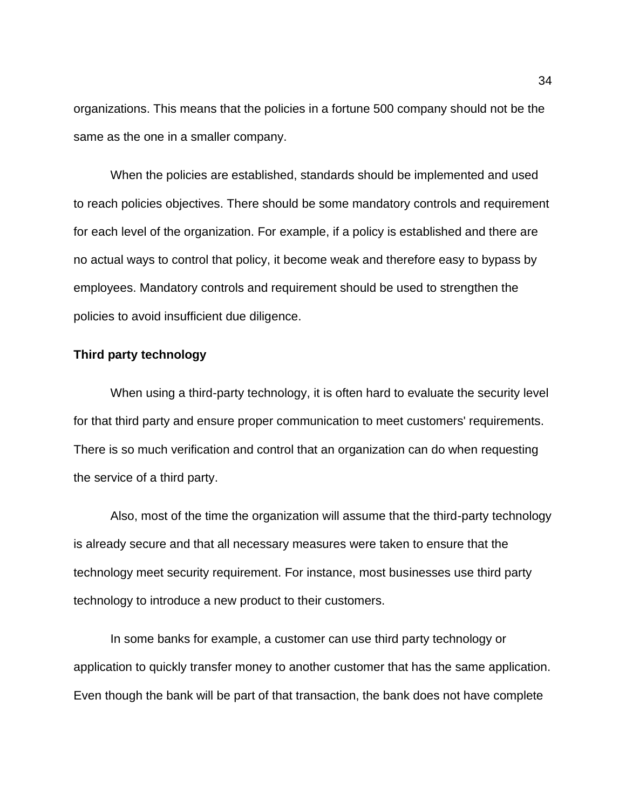organizations. This means that the policies in a fortune 500 company should not be the same as the one in a smaller company.

When the policies are established, standards should be implemented and used to reach policies objectives. There should be some mandatory controls and requirement for each level of the organization. For example, if a policy is established and there are no actual ways to control that policy, it become weak and therefore easy to bypass by employees. Mandatory controls and requirement should be used to strengthen the policies to avoid insufficient due diligence.

# **Third party technology**

When using a third-party technology, it is often hard to evaluate the security level for that third party and ensure proper communication to meet customers' requirements. There is so much verification and control that an organization can do when requesting the service of a third party.

Also, most of the time the organization will assume that the third-party technology is already secure and that all necessary measures were taken to ensure that the technology meet security requirement. For instance, most businesses use third party technology to introduce a new product to their customers.

In some banks for example, a customer can use third party technology or application to quickly transfer money to another customer that has the same application. Even though the bank will be part of that transaction, the bank does not have complete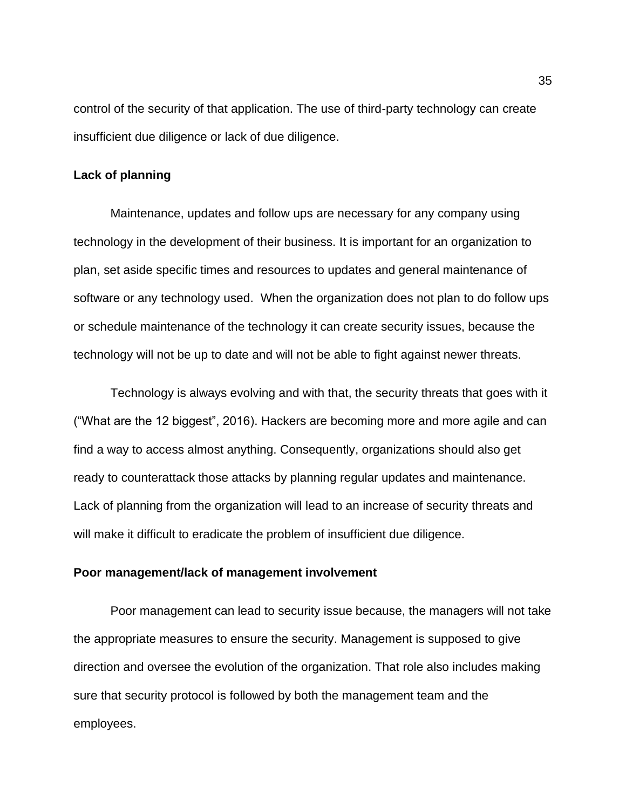control of the security of that application. The use of third-party technology can create insufficient due diligence or lack of due diligence.

#### **Lack of planning**

Maintenance, updates and follow ups are necessary for any company using technology in the development of their business. It is important for an organization to plan, set aside specific times and resources to updates and general maintenance of software or any technology used. When the organization does not plan to do follow ups or schedule maintenance of the technology it can create security issues, because the technology will not be up to date and will not be able to fight against newer threats.

Technology is always evolving and with that, the security threats that goes with it ("What are the 12 biggest", 2016). Hackers are becoming more and more agile and can find a way to access almost anything. Consequently, organizations should also get ready to counterattack those attacks by planning regular updates and maintenance. Lack of planning from the organization will lead to an increase of security threats and will make it difficult to eradicate the problem of insufficient due diligence.

#### **Poor management/lack of management involvement**

Poor management can lead to security issue because, the managers will not take the appropriate measures to ensure the security. Management is supposed to give direction and oversee the evolution of the organization. That role also includes making sure that security protocol is followed by both the management team and the employees.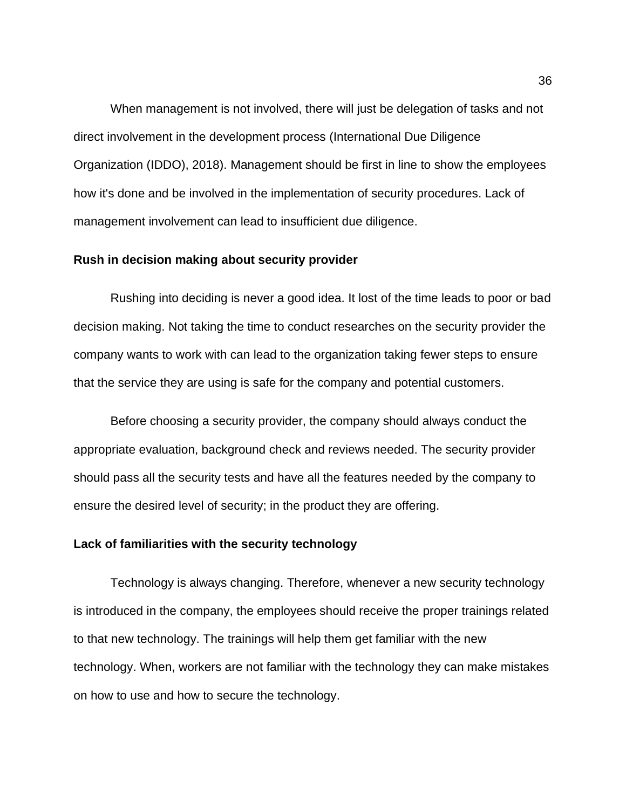When management is not involved, there will just be delegation of tasks and not direct involvement in the development process (International Due Diligence Organization (IDDO), 2018). Management should be first in line to show the employees how it's done and be involved in the implementation of security procedures. Lack of management involvement can lead to insufficient due diligence.

# **Rush in decision making about security provider**

Rushing into deciding is never a good idea. It lost of the time leads to poor or bad decision making. Not taking the time to conduct researches on the security provider the company wants to work with can lead to the organization taking fewer steps to ensure that the service they are using is safe for the company and potential customers.

Before choosing a security provider, the company should always conduct the appropriate evaluation, background check and reviews needed. The security provider should pass all the security tests and have all the features needed by the company to ensure the desired level of security; in the product they are offering.

#### **Lack of familiarities with the security technology**

Technology is always changing. Therefore, whenever a new security technology is introduced in the company, the employees should receive the proper trainings related to that new technology. The trainings will help them get familiar with the new technology. When, workers are not familiar with the technology they can make mistakes on how to use and how to secure the technology.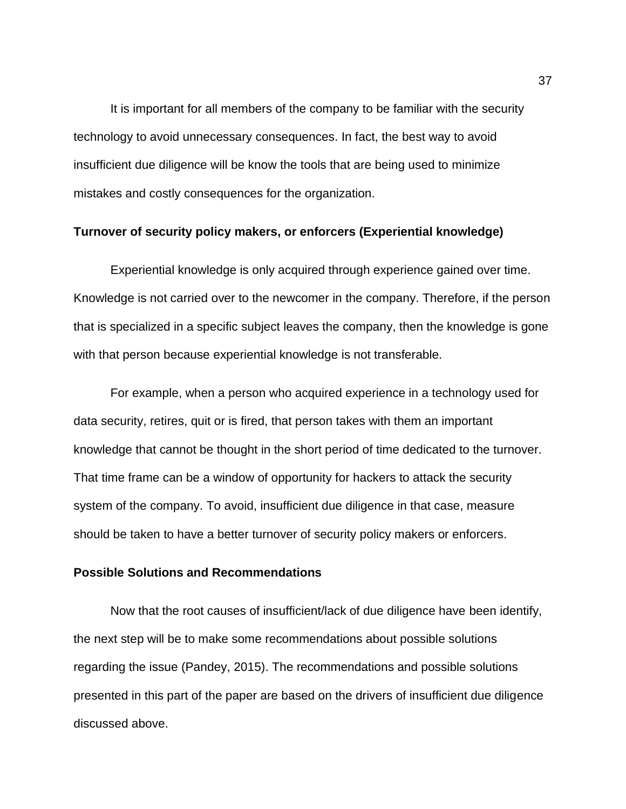It is important for all members of the company to be familiar with the security technology to avoid unnecessary consequences. In fact, the best way to avoid insufficient due diligence will be know the tools that are being used to minimize mistakes and costly consequences for the organization.

# **Turnover of security policy makers, or enforcers (Experiential knowledge)**

Experiential knowledge is only acquired through experience gained over time. Knowledge is not carried over to the newcomer in the company. Therefore, if the person that is specialized in a specific subject leaves the company, then the knowledge is gone with that person because experiential knowledge is not transferable.

For example, when a person who acquired experience in a technology used for data security, retires, quit or is fired, that person takes with them an important knowledge that cannot be thought in the short period of time dedicated to the turnover. That time frame can be a window of opportunity for hackers to attack the security system of the company. To avoid, insufficient due diligence in that case, measure should be taken to have a better turnover of security policy makers or enforcers.

## **Possible Solutions and Recommendations**

Now that the root causes of insufficient/lack of due diligence have been identify, the next step will be to make some recommendations about possible solutions regarding the issue (Pandey, 2015). The recommendations and possible solutions presented in this part of the paper are based on the drivers of insufficient due diligence discussed above.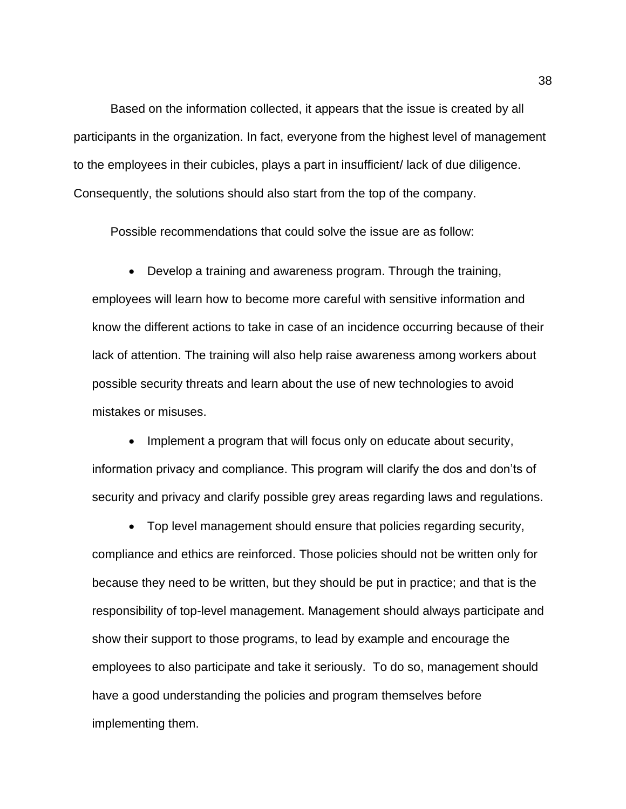Based on the information collected, it appears that the issue is created by all participants in the organization. In fact, everyone from the highest level of management to the employees in their cubicles, plays a part in insufficient/ lack of due diligence. Consequently, the solutions should also start from the top of the company.

Possible recommendations that could solve the issue are as follow:

• Develop a training and awareness program. Through the training, employees will learn how to become more careful with sensitive information and know the different actions to take in case of an incidence occurring because of their lack of attention. The training will also help raise awareness among workers about possible security threats and learn about the use of new technologies to avoid mistakes or misuses.

• Implement a program that will focus only on educate about security, information privacy and compliance. This program will clarify the dos and don'ts of security and privacy and clarify possible grey areas regarding laws and regulations.

• Top level management should ensure that policies regarding security, compliance and ethics are reinforced. Those policies should not be written only for because they need to be written, but they should be put in practice; and that is the responsibility of top-level management. Management should always participate and show their support to those programs, to lead by example and encourage the employees to also participate and take it seriously. To do so, management should have a good understanding the policies and program themselves before implementing them.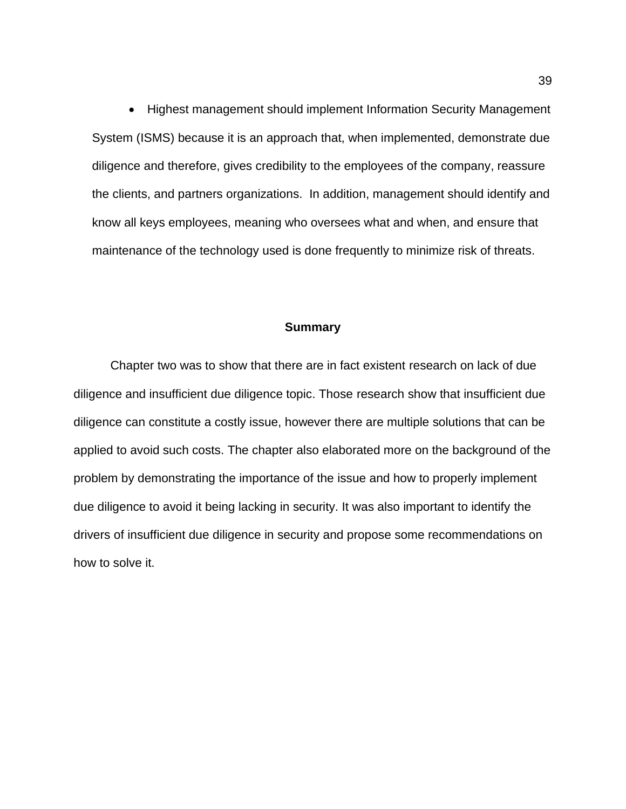• Highest management should implement Information Security Management System (ISMS) because it is an approach that, when implemented, demonstrate due diligence and therefore, gives credibility to the employees of the company, reassure the clients, and partners organizations. In addition, management should identify and know all keys employees, meaning who oversees what and when, and ensure that maintenance of the technology used is done frequently to minimize risk of threats.

## **Summary**

Chapter two was to show that there are in fact existent research on lack of due diligence and insufficient due diligence topic. Those research show that insufficient due diligence can constitute a costly issue, however there are multiple solutions that can be applied to avoid such costs. The chapter also elaborated more on the background of the problem by demonstrating the importance of the issue and how to properly implement due diligence to avoid it being lacking in security. It was also important to identify the drivers of insufficient due diligence in security and propose some recommendations on how to solve it.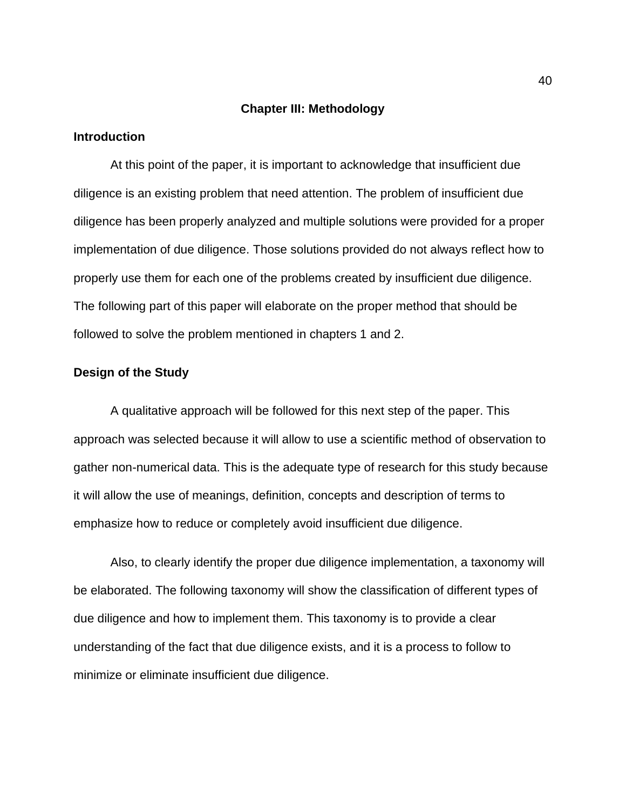#### **Chapter III: Methodology**

# **Introduction**

At this point of the paper, it is important to acknowledge that insufficient due diligence is an existing problem that need attention. The problem of insufficient due diligence has been properly analyzed and multiple solutions were provided for a proper implementation of due diligence. Those solutions provided do not always reflect how to properly use them for each one of the problems created by insufficient due diligence. The following part of this paper will elaborate on the proper method that should be followed to solve the problem mentioned in chapters 1 and 2.

# **Design of the Study**

A qualitative approach will be followed for this next step of the paper. This approach was selected because it will allow to use a scientific method of observation to gather non-numerical data. This is the adequate type of research for this study because it will allow the use of meanings, definition, concepts and description of terms to emphasize how to reduce or completely avoid insufficient due diligence.

Also, to clearly identify the proper due diligence implementation, a taxonomy will be elaborated. The following taxonomy will show the classification of different types of due diligence and how to implement them. This taxonomy is to provide a clear understanding of the fact that due diligence exists, and it is a process to follow to minimize or eliminate insufficient due diligence.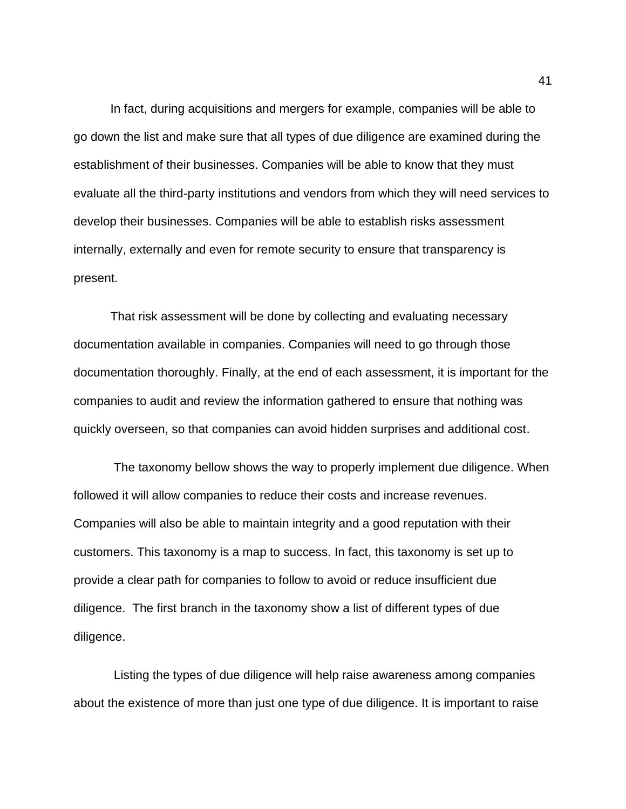In fact, during acquisitions and mergers for example, companies will be able to go down the list and make sure that all types of due diligence are examined during the establishment of their businesses. Companies will be able to know that they must evaluate all the third-party institutions and vendors from which they will need services to develop their businesses. Companies will be able to establish risks assessment internally, externally and even for remote security to ensure that transparency is present.

That risk assessment will be done by collecting and evaluating necessary documentation available in companies. Companies will need to go through those documentation thoroughly. Finally, at the end of each assessment, it is important for the companies to audit and review the information gathered to ensure that nothing was quickly overseen, so that companies can avoid hidden surprises and additional cost.

The taxonomy bellow shows the way to properly implement due diligence. When followed it will allow companies to reduce their costs and increase revenues. Companies will also be able to maintain integrity and a good reputation with their customers. This taxonomy is a map to success. In fact, this taxonomy is set up to provide a clear path for companies to follow to avoid or reduce insufficient due diligence. The first branch in the taxonomy show a list of different types of due diligence.

Listing the types of due diligence will help raise awareness among companies about the existence of more than just one type of due diligence. It is important to raise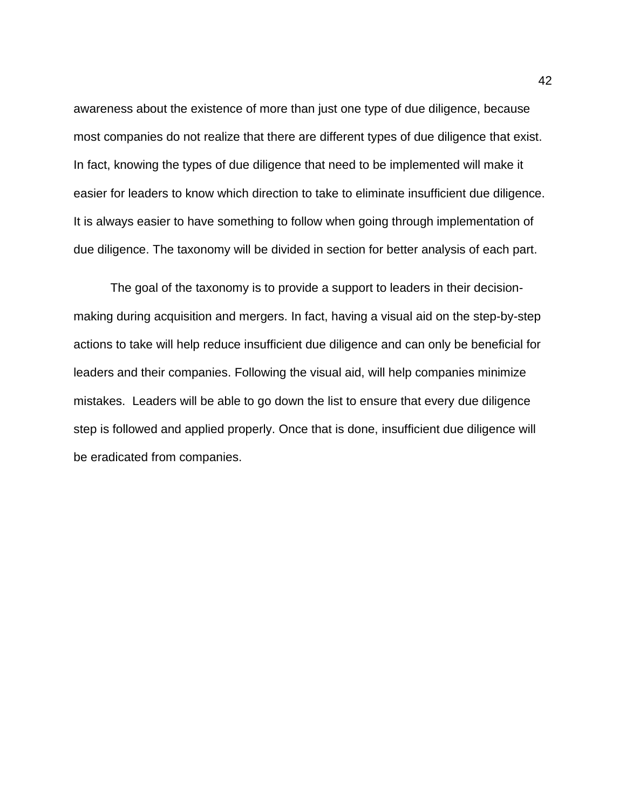awareness about the existence of more than just one type of due diligence, because most companies do not realize that there are different types of due diligence that exist. In fact, knowing the types of due diligence that need to be implemented will make it easier for leaders to know which direction to take to eliminate insufficient due diligence. It is always easier to have something to follow when going through implementation of due diligence. The taxonomy will be divided in section for better analysis of each part.

The goal of the taxonomy is to provide a support to leaders in their decisionmaking during acquisition and mergers. In fact, having a visual aid on the step-by-step actions to take will help reduce insufficient due diligence and can only be beneficial for leaders and their companies. Following the visual aid, will help companies minimize mistakes. Leaders will be able to go down the list to ensure that every due diligence step is followed and applied properly. Once that is done, insufficient due diligence will be eradicated from companies.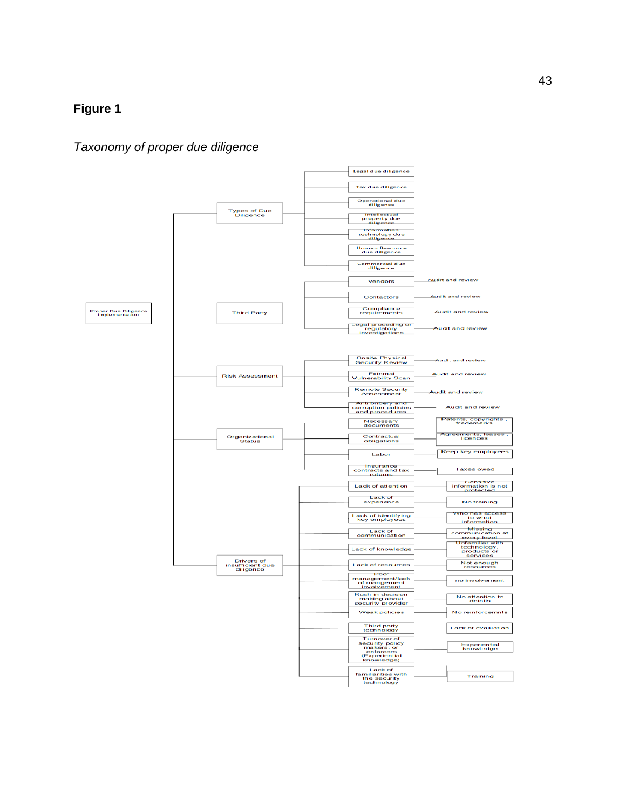# **Figure 1**

# *Taxonomy of proper due diligence*

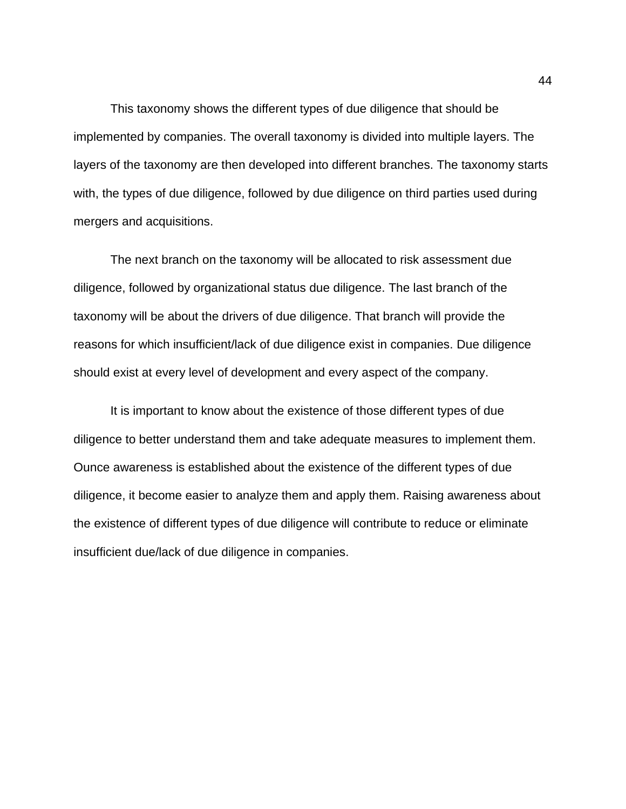This taxonomy shows the different types of due diligence that should be implemented by companies. The overall taxonomy is divided into multiple layers. The layers of the taxonomy are then developed into different branches. The taxonomy starts with, the types of due diligence, followed by due diligence on third parties used during mergers and acquisitions.

The next branch on the taxonomy will be allocated to risk assessment due diligence, followed by organizational status due diligence. The last branch of the taxonomy will be about the drivers of due diligence. That branch will provide the reasons for which insufficient/lack of due diligence exist in companies. Due diligence should exist at every level of development and every aspect of the company.

It is important to know about the existence of those different types of due diligence to better understand them and take adequate measures to implement them. Ounce awareness is established about the existence of the different types of due diligence, it become easier to analyze them and apply them. Raising awareness about the existence of different types of due diligence will contribute to reduce or eliminate insufficient due/lack of due diligence in companies.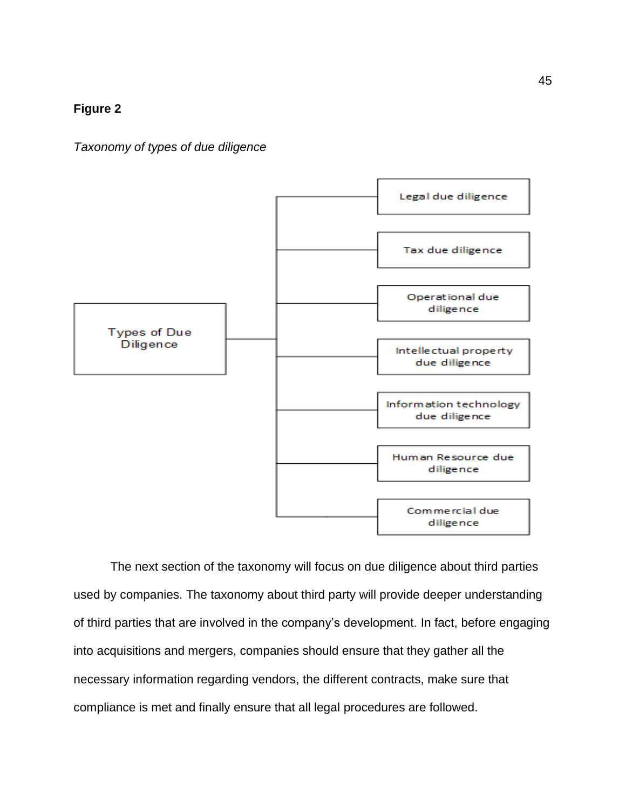# **Figure 2**

*Taxonomy of types of due diligence*



The next section of the taxonomy will focus on due diligence about third parties used by companies. The taxonomy about third party will provide deeper understanding of third parties that are involved in the company's development. In fact, before engaging into acquisitions and mergers, companies should ensure that they gather all the necessary information regarding vendors, the different contracts, make sure that compliance is met and finally ensure that all legal procedures are followed.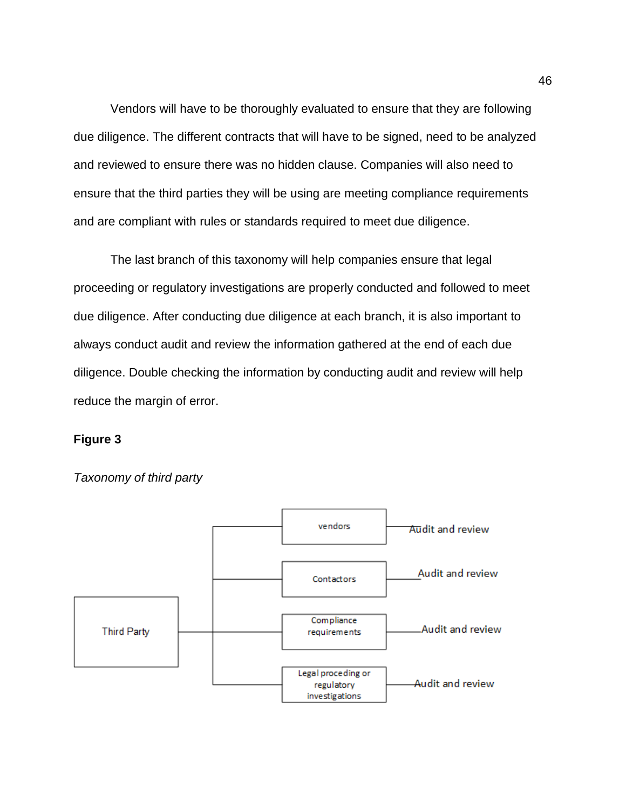Vendors will have to be thoroughly evaluated to ensure that they are following due diligence. The different contracts that will have to be signed, need to be analyzed and reviewed to ensure there was no hidden clause. Companies will also need to ensure that the third parties they will be using are meeting compliance requirements and are compliant with rules or standards required to meet due diligence.

The last branch of this taxonomy will help companies ensure that legal proceeding or regulatory investigations are properly conducted and followed to meet due diligence. After conducting due diligence at each branch, it is also important to always conduct audit and review the information gathered at the end of each due diligence. Double checking the information by conducting audit and review will help reduce the margin of error.

# **Figure 3**



*Taxonomy of third party*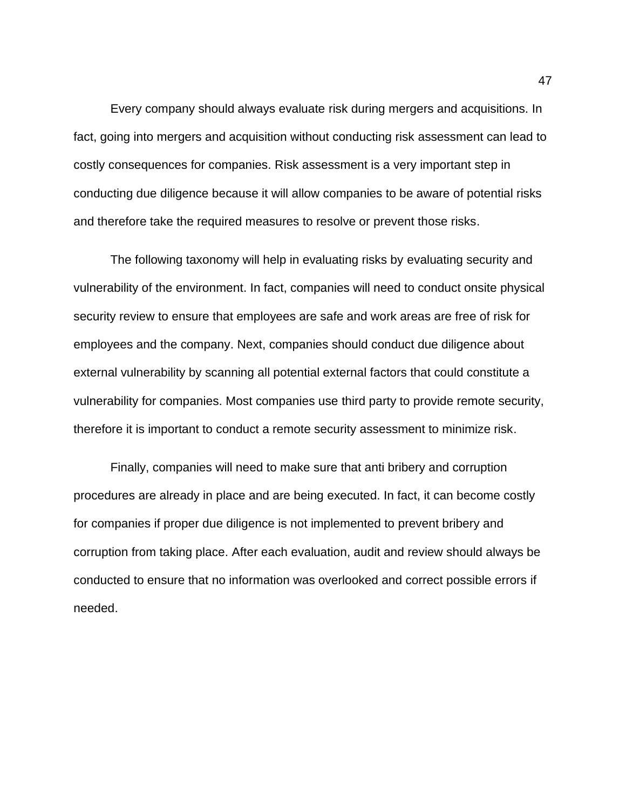Every company should always evaluate risk during mergers and acquisitions. In fact, going into mergers and acquisition without conducting risk assessment can lead to costly consequences for companies. Risk assessment is a very important step in conducting due diligence because it will allow companies to be aware of potential risks and therefore take the required measures to resolve or prevent those risks.

The following taxonomy will help in evaluating risks by evaluating security and vulnerability of the environment. In fact, companies will need to conduct onsite physical security review to ensure that employees are safe and work areas are free of risk for employees and the company. Next, companies should conduct due diligence about external vulnerability by scanning all potential external factors that could constitute a vulnerability for companies. Most companies use third party to provide remote security, therefore it is important to conduct a remote security assessment to minimize risk.

Finally, companies will need to make sure that anti bribery and corruption procedures are already in place and are being executed. In fact, it can become costly for companies if proper due diligence is not implemented to prevent bribery and corruption from taking place. After each evaluation, audit and review should always be conducted to ensure that no information was overlooked and correct possible errors if needed.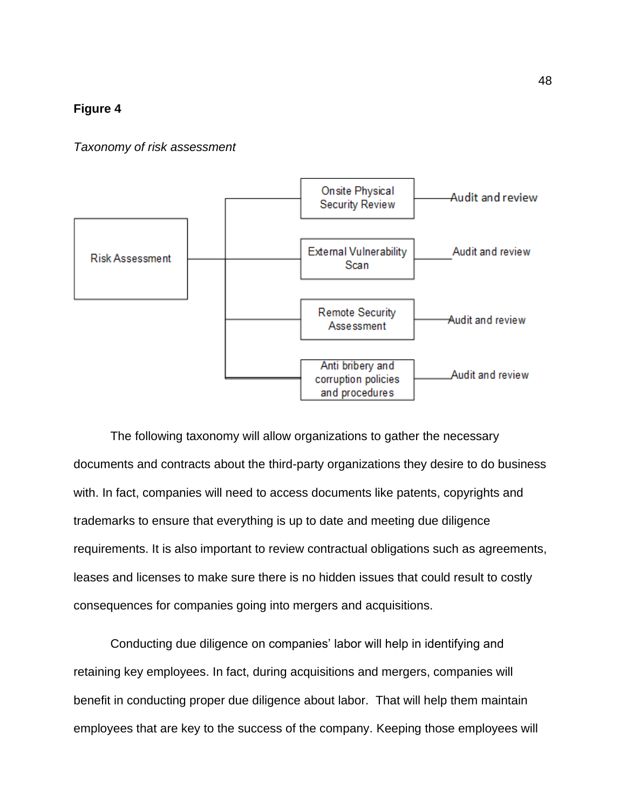# **Figure 4**

## *Taxonomy of risk assessment*



The following taxonomy will allow organizations to gather the necessary documents and contracts about the third-party organizations they desire to do business with. In fact, companies will need to access documents like patents, copyrights and trademarks to ensure that everything is up to date and meeting due diligence requirements. It is also important to review contractual obligations such as agreements, leases and licenses to make sure there is no hidden issues that could result to costly consequences for companies going into mergers and acquisitions.

Conducting due diligence on companies' labor will help in identifying and retaining key employees. In fact, during acquisitions and mergers, companies will benefit in conducting proper due diligence about labor. That will help them maintain employees that are key to the success of the company. Keeping those employees will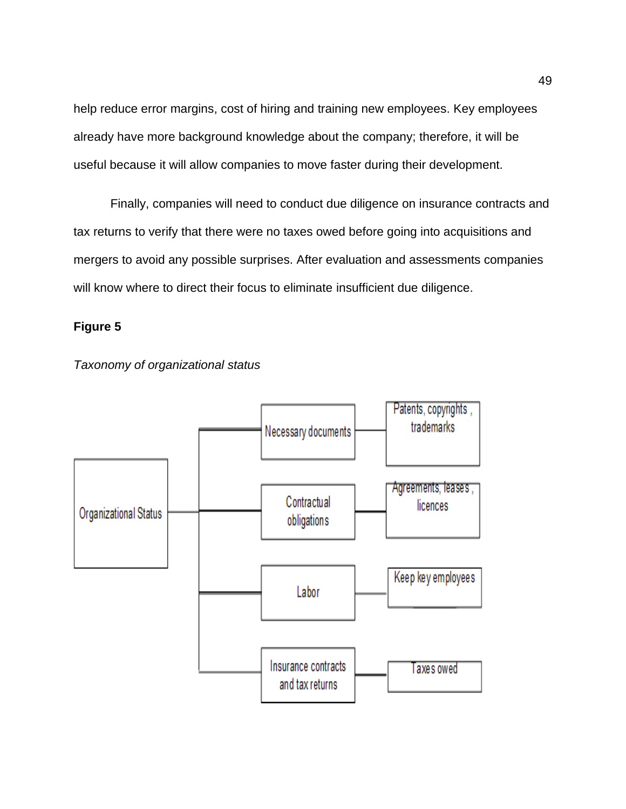help reduce error margins, cost of hiring and training new employees. Key employees already have more background knowledge about the company; therefore, it will be useful because it will allow companies to move faster during their development.

Finally, companies will need to conduct due diligence on insurance contracts and tax returns to verify that there were no taxes owed before going into acquisitions and mergers to avoid any possible surprises. After evaluation and assessments companies will know where to direct their focus to eliminate insufficient due diligence.

# **Figure 5**



*Taxonomy of organizational status*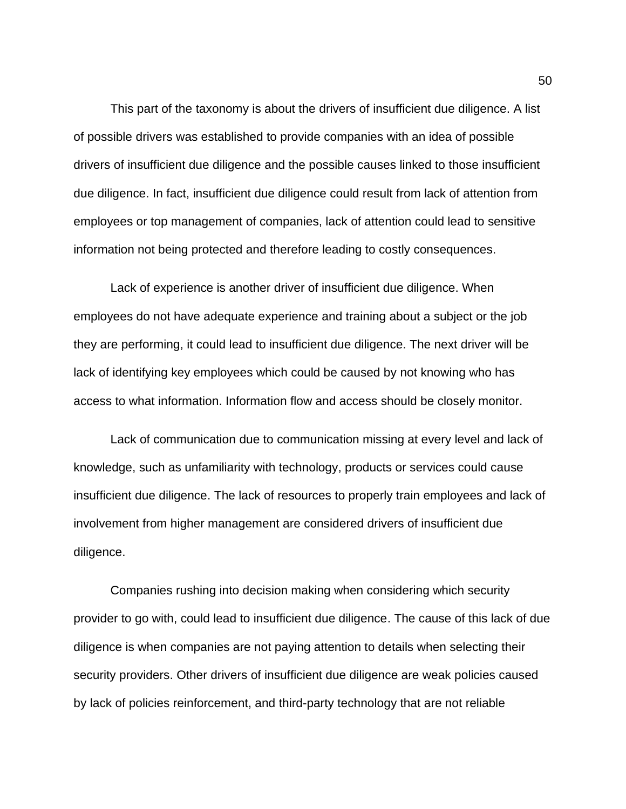This part of the taxonomy is about the drivers of insufficient due diligence. A list of possible drivers was established to provide companies with an idea of possible drivers of insufficient due diligence and the possible causes linked to those insufficient due diligence. In fact, insufficient due diligence could result from lack of attention from employees or top management of companies, lack of attention could lead to sensitive information not being protected and therefore leading to costly consequences.

Lack of experience is another driver of insufficient due diligence. When employees do not have adequate experience and training about a subject or the job they are performing, it could lead to insufficient due diligence. The next driver will be lack of identifying key employees which could be caused by not knowing who has access to what information. Information flow and access should be closely monitor.

Lack of communication due to communication missing at every level and lack of knowledge, such as unfamiliarity with technology, products or services could cause insufficient due diligence. The lack of resources to properly train employees and lack of involvement from higher management are considered drivers of insufficient due diligence.

Companies rushing into decision making when considering which security provider to go with, could lead to insufficient due diligence. The cause of this lack of due diligence is when companies are not paying attention to details when selecting their security providers. Other drivers of insufficient due diligence are weak policies caused by lack of policies reinforcement, and third-party technology that are not reliable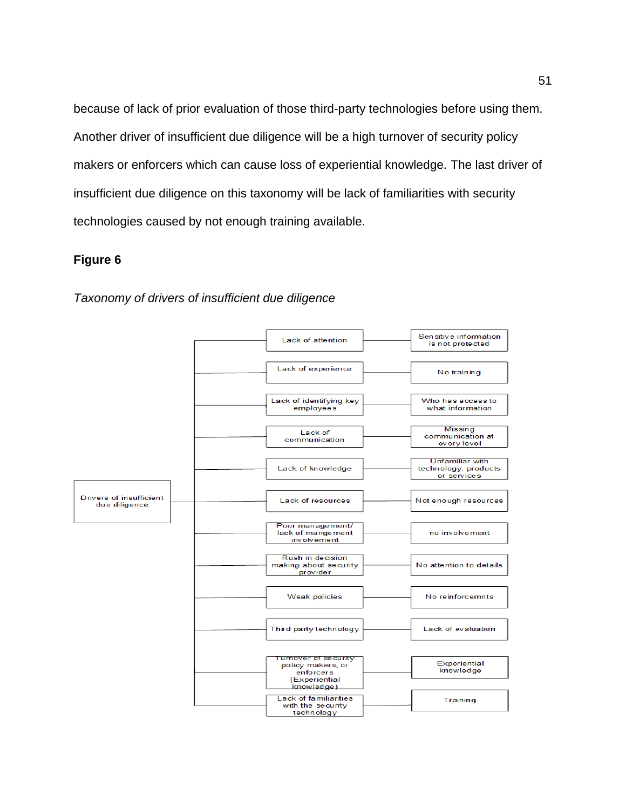because of lack of prior evaluation of those third-party technologies before using them. Another driver of insufficient due diligence will be a high turnover of security policy makers or enforcers which can cause loss of experiential knowledge. The last driver of insufficient due diligence on this taxonomy will be lack of familiarities with security technologies caused by not enough training available.

# **Figure 6**

# *Taxonomy of drivers of insufficient due diligence*

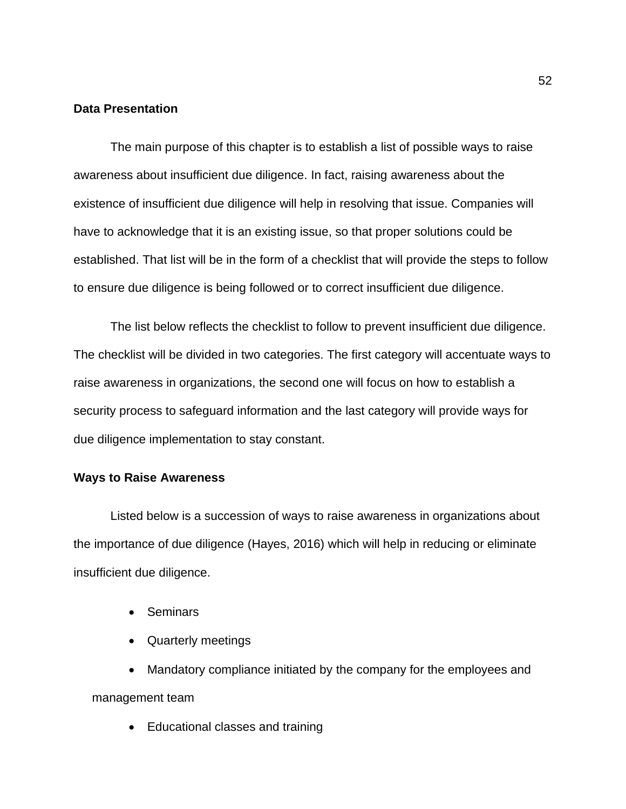# **Data Presentation**

The main purpose of this chapter is to establish a list of possible ways to raise awareness about insufficient due diligence. In fact, raising awareness about the existence of insufficient due diligence will help in resolving that issue. Companies will have to acknowledge that it is an existing issue, so that proper solutions could be established. That list will be in the form of a checklist that will provide the steps to follow to ensure due diligence is being followed or to correct insufficient due diligence.

The list below reflects the checklist to follow to prevent insufficient due diligence. The checklist will be divided in two categories. The first category will accentuate ways to raise awareness in organizations, the second one will focus on how to establish a security process to safeguard information and the last category will provide ways for due diligence implementation to stay constant.

# **Ways to Raise Awareness**

Listed below is a succession of ways to raise awareness in organizations about the importance of due diligence (Hayes, 2016) which will help in reducing or eliminate insufficient due diligence.

- Seminars
- Quarterly meetings

• Mandatory compliance initiated by the company for the employees and management team

• Educational classes and training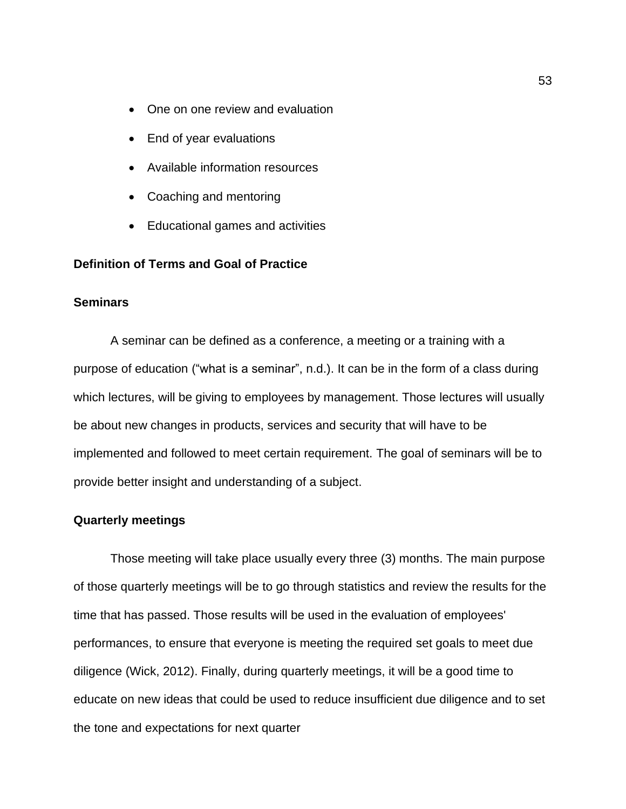- One on one review and evaluation
- End of year evaluations
- Available information resources
- Coaching and mentoring
- Educational games and activities

# **Definition of Terms and Goal of Practice**

## **Seminars**

A seminar can be defined as a conference, a meeting or a training with a purpose of education ("what is a seminar", n.d.). It can be in the form of a class during which lectures, will be giving to employees by management. Those lectures will usually be about new changes in products, services and security that will have to be implemented and followed to meet certain requirement. The goal of seminars will be to provide better insight and understanding of a subject.

#### **Quarterly meetings**

Those meeting will take place usually every three (3) months. The main purpose of those quarterly meetings will be to go through statistics and review the results for the time that has passed. Those results will be used in the evaluation of employees' performances, to ensure that everyone is meeting the required set goals to meet due diligence (Wick, 2012). Finally, during quarterly meetings, it will be a good time to educate on new ideas that could be used to reduce insufficient due diligence and to set the tone and expectations for next quarter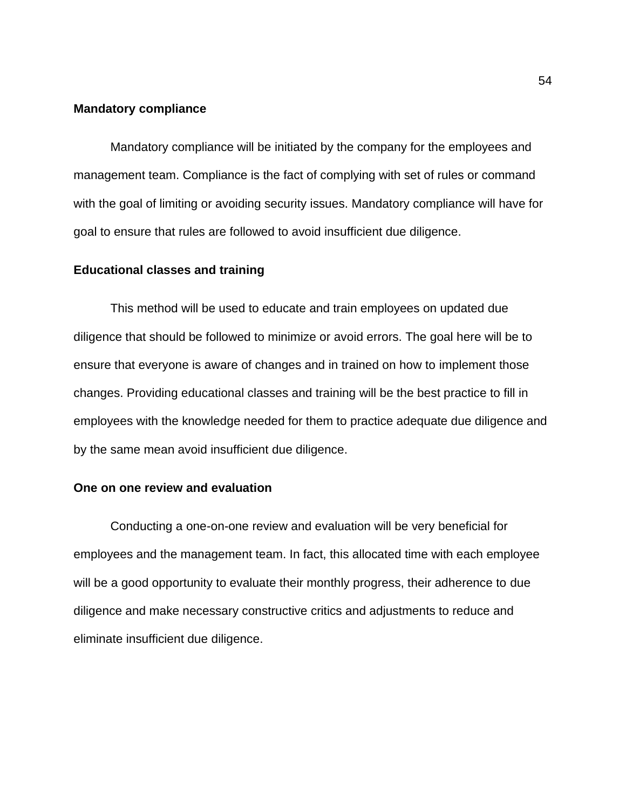## **Mandatory compliance**

Mandatory compliance will be initiated by the company for the employees and management team. Compliance is the fact of complying with set of rules or command with the goal of limiting or avoiding security issues. Mandatory compliance will have for goal to ensure that rules are followed to avoid insufficient due diligence.

# **Educational classes and training**

This method will be used to educate and train employees on updated due diligence that should be followed to minimize or avoid errors. The goal here will be to ensure that everyone is aware of changes and in trained on how to implement those changes. Providing educational classes and training will be the best practice to fill in employees with the knowledge needed for them to practice adequate due diligence and by the same mean avoid insufficient due diligence.

#### **One on one review and evaluation**

Conducting a one-on-one review and evaluation will be very beneficial for employees and the management team. In fact, this allocated time with each employee will be a good opportunity to evaluate their monthly progress, their adherence to due diligence and make necessary constructive critics and adjustments to reduce and eliminate insufficient due diligence.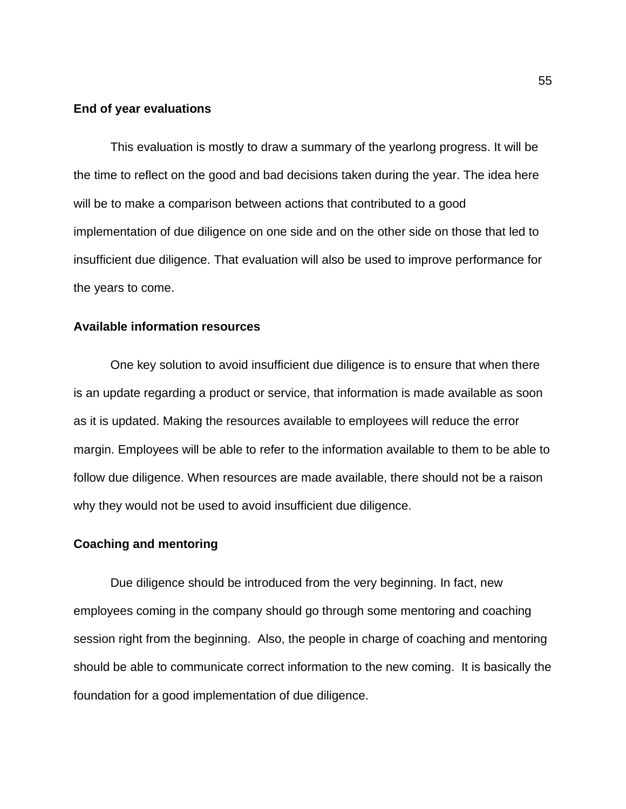## **End of year evaluations**

This evaluation is mostly to draw a summary of the yearlong progress. It will be the time to reflect on the good and bad decisions taken during the year. The idea here will be to make a comparison between actions that contributed to a good implementation of due diligence on one side and on the other side on those that led to insufficient due diligence. That evaluation will also be used to improve performance for the years to come.

# **Available information resources**

One key solution to avoid insufficient due diligence is to ensure that when there is an update regarding a product or service, that information is made available as soon as it is updated. Making the resources available to employees will reduce the error margin. Employees will be able to refer to the information available to them to be able to follow due diligence. When resources are made available, there should not be a raison why they would not be used to avoid insufficient due diligence.

#### **Coaching and mentoring**

Due diligence should be introduced from the very beginning. In fact, new employees coming in the company should go through some mentoring and coaching session right from the beginning. Also, the people in charge of coaching and mentoring should be able to communicate correct information to the new coming. It is basically the foundation for a good implementation of due diligence.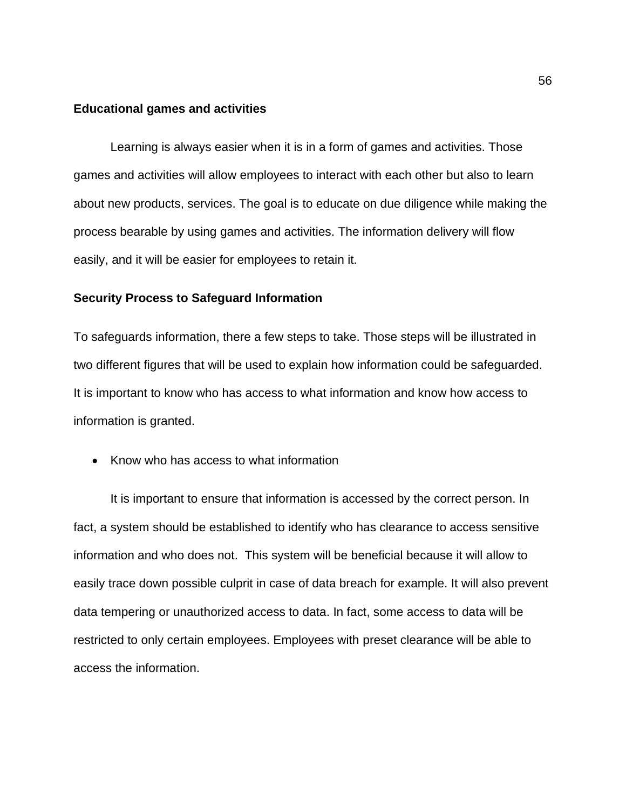#### **Educational games and activities**

Learning is always easier when it is in a form of games and activities. Those games and activities will allow employees to interact with each other but also to learn about new products, services. The goal is to educate on due diligence while making the process bearable by using games and activities. The information delivery will flow easily, and it will be easier for employees to retain it.

# **Security Process to Safeguard Information**

To safeguards information, there a few steps to take. Those steps will be illustrated in two different figures that will be used to explain how information could be safeguarded. It is important to know who has access to what information and know how access to information is granted.

• Know who has access to what information

It is important to ensure that information is accessed by the correct person. In fact, a system should be established to identify who has clearance to access sensitive information and who does not. This system will be beneficial because it will allow to easily trace down possible culprit in case of data breach for example. It will also prevent data tempering or unauthorized access to data. In fact, some access to data will be restricted to only certain employees. Employees with preset clearance will be able to access the information.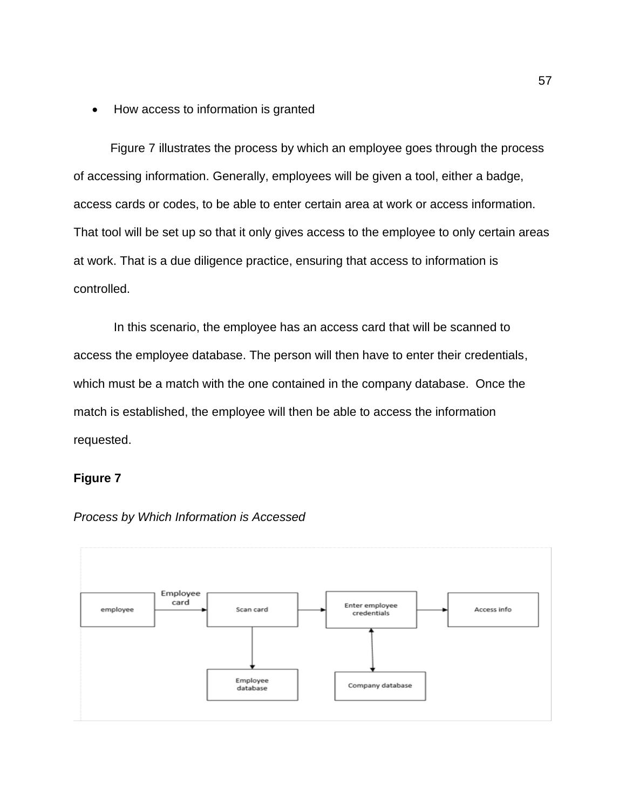• How access to information is granted

Figure 7 illustrates the process by which an employee goes through the process of accessing information. Generally, employees will be given a tool, either a badge, access cards or codes, to be able to enter certain area at work or access information. That tool will be set up so that it only gives access to the employee to only certain areas at work. That is a due diligence practice, ensuring that access to information is controlled.

In this scenario, the employee has an access card that will be scanned to access the employee database. The person will then have to enter their credentials, which must be a match with the one contained in the company database. Once the match is established, the employee will then be able to access the information requested.

# **Figure 7**



*Process by Which Information is Accessed*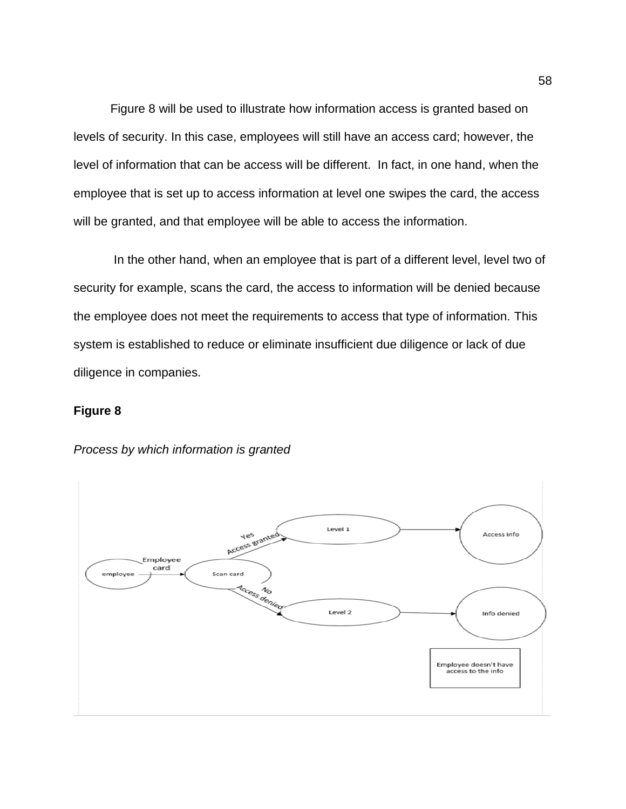Figure 8 will be used to illustrate how information access is granted based on levels of security. In this case, employees will still have an access card; however, the level of information that can be access will be different. In fact, in one hand, when the employee that is set up to access information at level one swipes the card, the access will be granted, and that employee will be able to access the information.

In the other hand, when an employee that is part of a different level, level two of security for example, scans the card, the access to information will be denied because the employee does not meet the requirements to access that type of information. This system is established to reduce or eliminate insufficient due diligence or lack of due diligence in companies.

# **Figure 8**



#### *Process by which information is granted*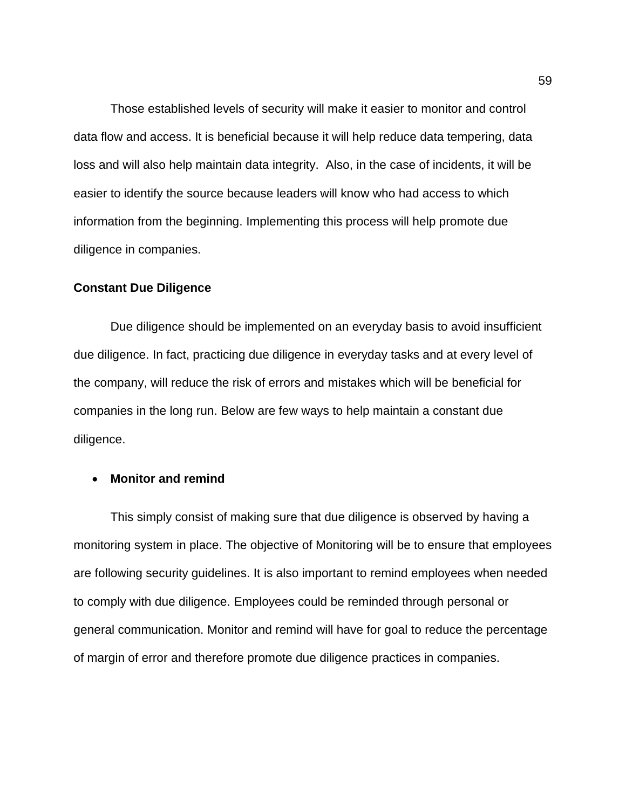Those established levels of security will make it easier to monitor and control data flow and access. It is beneficial because it will help reduce data tempering, data loss and will also help maintain data integrity. Also, in the case of incidents, it will be easier to identify the source because leaders will know who had access to which information from the beginning. Implementing this process will help promote due diligence in companies.

### **Constant Due Diligence**

Due diligence should be implemented on an everyday basis to avoid insufficient due diligence. In fact, practicing due diligence in everyday tasks and at every level of the company, will reduce the risk of errors and mistakes which will be beneficial for companies in the long run. Below are few ways to help maintain a constant due diligence.

# • **Monitor and remind**

This simply consist of making sure that due diligence is observed by having a monitoring system in place. The objective of Monitoring will be to ensure that employees are following security guidelines. It is also important to remind employees when needed to comply with due diligence. Employees could be reminded through personal or general communication. Monitor and remind will have for goal to reduce the percentage of margin of error and therefore promote due diligence practices in companies.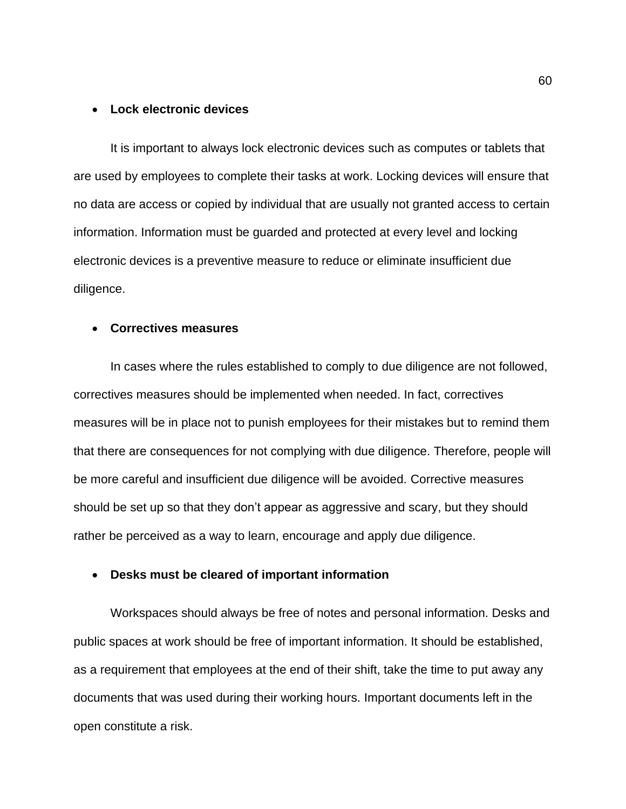#### • **Lock electronic devices**

It is important to always lock electronic devices such as computes or tablets that are used by employees to complete their tasks at work. Locking devices will ensure that no data are access or copied by individual that are usually not granted access to certain information. Information must be guarded and protected at every level and locking electronic devices is a preventive measure to reduce or eliminate insufficient due diligence.

# • **Correctives measures**

In cases where the rules established to comply to due diligence are not followed, correctives measures should be implemented when needed. In fact, correctives measures will be in place not to punish employees for their mistakes but to remind them that there are consequences for not complying with due diligence. Therefore, people will be more careful and insufficient due diligence will be avoided. Corrective measures should be set up so that they don't appear as aggressive and scary, but they should rather be perceived as a way to learn, encourage and apply due diligence.

## • **Desks must be cleared of important information**

Workspaces should always be free of notes and personal information. Desks and public spaces at work should be free of important information. It should be established, as a requirement that employees at the end of their shift, take the time to put away any documents that was used during their working hours. Important documents left in the open constitute a risk.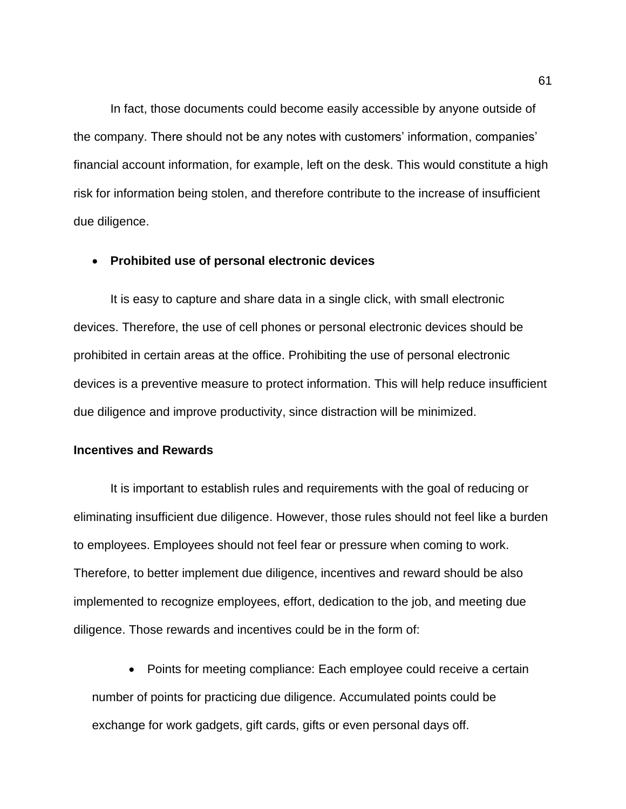In fact, those documents could become easily accessible by anyone outside of the company. There should not be any notes with customers' information, companies' financial account information, for example, left on the desk. This would constitute a high risk for information being stolen, and therefore contribute to the increase of insufficient due diligence.

## • **Prohibited use of personal electronic devices**

It is easy to capture and share data in a single click, with small electronic devices. Therefore, the use of cell phones or personal electronic devices should be prohibited in certain areas at the office. Prohibiting the use of personal electronic devices is a preventive measure to protect information. This will help reduce insufficient due diligence and improve productivity, since distraction will be minimized.

# **Incentives and Rewards**

It is important to establish rules and requirements with the goal of reducing or eliminating insufficient due diligence. However, those rules should not feel like a burden to employees. Employees should not feel fear or pressure when coming to work. Therefore, to better implement due diligence, incentives and reward should be also implemented to recognize employees, effort, dedication to the job, and meeting due diligence. Those rewards and incentives could be in the form of:

• Points for meeting compliance: Each employee could receive a certain number of points for practicing due diligence. Accumulated points could be exchange for work gadgets, gift cards, gifts or even personal days off.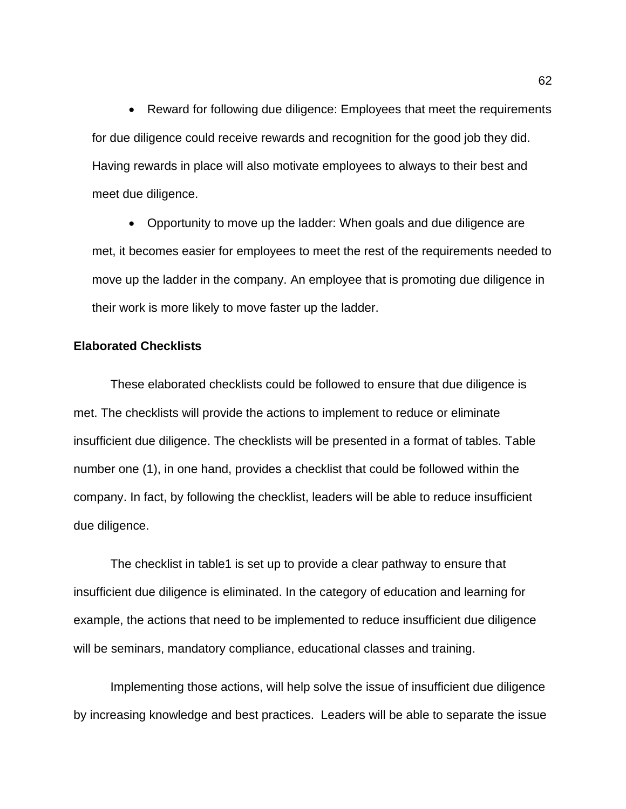• Reward for following due diligence: Employees that meet the requirements for due diligence could receive rewards and recognition for the good job they did. Having rewards in place will also motivate employees to always to their best and meet due diligence.

• Opportunity to move up the ladder: When goals and due diligence are met, it becomes easier for employees to meet the rest of the requirements needed to move up the ladder in the company. An employee that is promoting due diligence in their work is more likely to move faster up the ladder.

## **Elaborated Checklists**

These elaborated checklists could be followed to ensure that due diligence is met. The checklists will provide the actions to implement to reduce or eliminate insufficient due diligence. The checklists will be presented in a format of tables. Table number one (1), in one hand, provides a checklist that could be followed within the company. In fact, by following the checklist, leaders will be able to reduce insufficient due diligence.

The checklist in table1 is set up to provide a clear pathway to ensure that insufficient due diligence is eliminated. In the category of education and learning for example, the actions that need to be implemented to reduce insufficient due diligence will be seminars, mandatory compliance, educational classes and training.

Implementing those actions, will help solve the issue of insufficient due diligence by increasing knowledge and best practices. Leaders will be able to separate the issue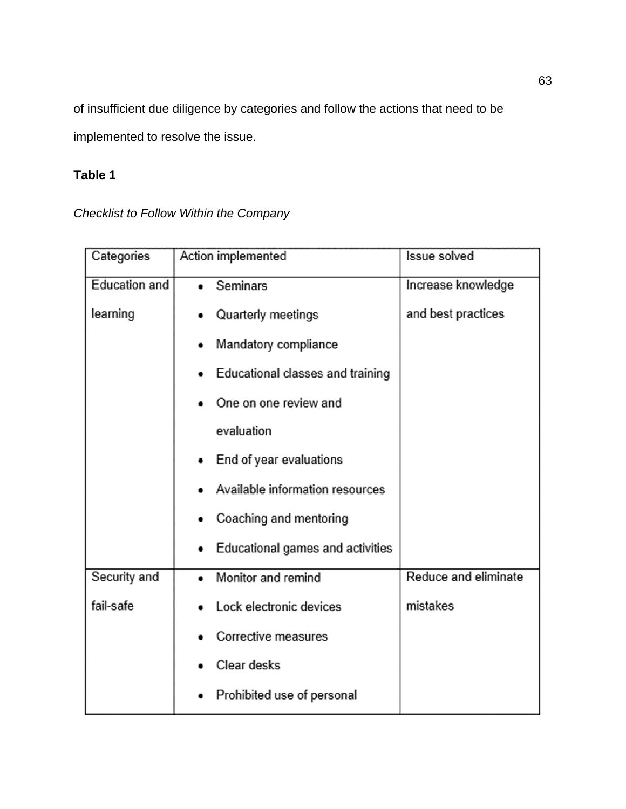of insufficient due diligence by categories and follow the actions that need to be implemented to resolve the issue.

# **Table 1**

*Checklist to Follow Within the Company*

| Categories           | Action implemented               | <b>Issue solved</b>  |
|----------------------|----------------------------------|----------------------|
| <b>Education and</b> | Seminars                         | Increase knowledge   |
| learning             | Quarterly meetings               | and best practices   |
|                      | Mandatory compliance             |                      |
|                      | Educational classes and training |                      |
|                      | One on one review and            |                      |
|                      | evaluation                       |                      |
|                      | End of year evaluations          |                      |
|                      | Available information resources  |                      |
|                      | Coaching and mentoring           |                      |
|                      | Educational games and activities |                      |
| Security and         | Monitor and remind               | Reduce and eliminate |
| fail-safe            | Lock electronic devices          | mistakes             |
|                      | Corrective measures              |                      |
|                      | Clear desks                      |                      |
|                      | Prohibited use of personal       |                      |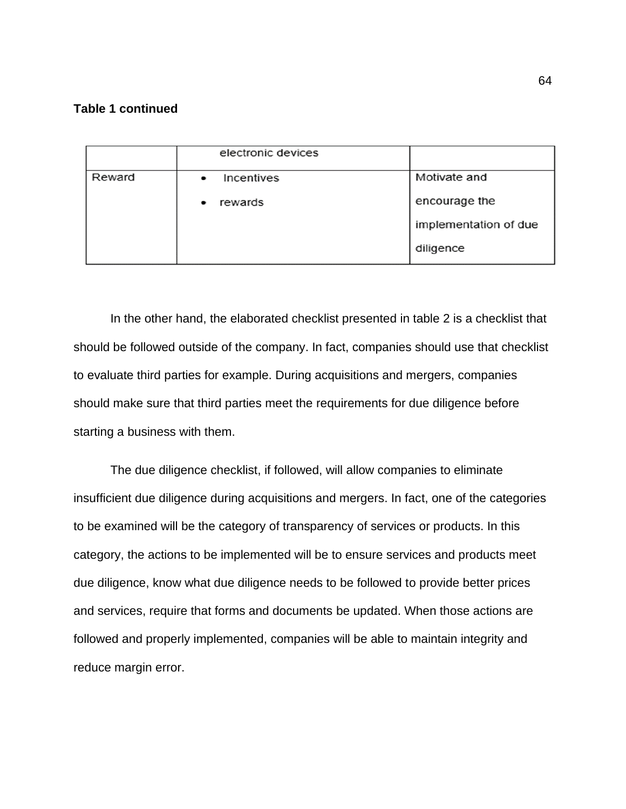# **Table 1 continued**

|        | electronic devices      |                       |
|--------|-------------------------|-----------------------|
| Reward | Incentives<br>$\bullet$ | Motivate and          |
|        | rewards                 | encourage the         |
|        |                         | implementation of due |
|        |                         | diligence             |

In the other hand, the elaborated checklist presented in table 2 is a checklist that should be followed outside of the company. In fact, companies should use that checklist to evaluate third parties for example. During acquisitions and mergers, companies should make sure that third parties meet the requirements for due diligence before starting a business with them.

The due diligence checklist, if followed, will allow companies to eliminate insufficient due diligence during acquisitions and mergers. In fact, one of the categories to be examined will be the category of transparency of services or products. In this category, the actions to be implemented will be to ensure services and products meet due diligence, know what due diligence needs to be followed to provide better prices and services, require that forms and documents be updated. When those actions are followed and properly implemented, companies will be able to maintain integrity and reduce margin error.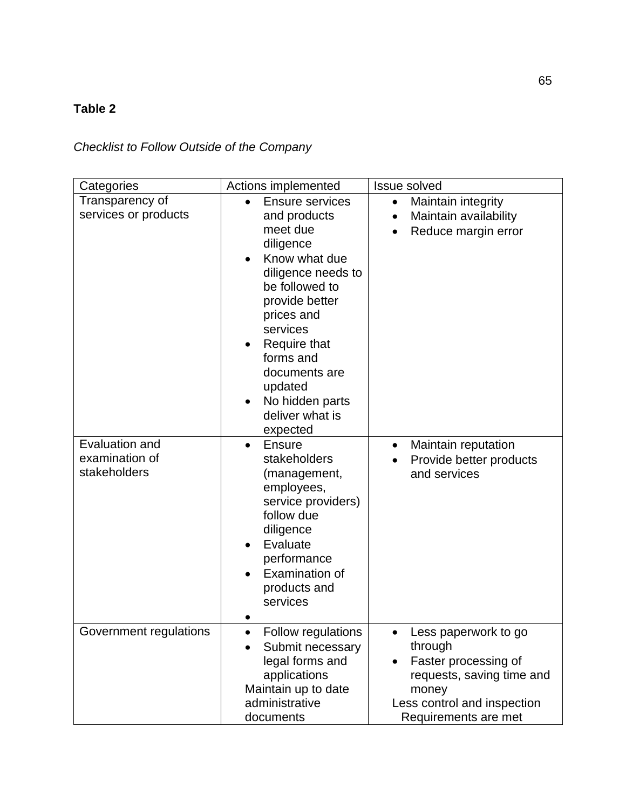# **Table 2**

*Checklist to Follow Outside of the Company*

| Categories                                       | Actions implemented                                                                                                                                                                                                                                                             | <b>Issue solved</b>                                                                                                                                  |
|--------------------------------------------------|---------------------------------------------------------------------------------------------------------------------------------------------------------------------------------------------------------------------------------------------------------------------------------|------------------------------------------------------------------------------------------------------------------------------------------------------|
| Transparency of<br>services or products          | <b>Ensure services</b><br>and products<br>meet due<br>diligence<br>Know what due<br>diligence needs to<br>be followed to<br>provide better<br>prices and<br>services<br>Require that<br>forms and<br>documents are<br>updated<br>No hidden parts<br>deliver what is<br>expected | Maintain integrity<br>$\bullet$<br>Maintain availability<br>Reduce margin error                                                                      |
| Evaluation and<br>examination of<br>stakeholders | Ensure<br>$\bullet$<br>stakeholders<br>(management,<br>employees,<br>service providers)<br>follow due<br>diligence<br>Evaluate<br>performance<br>Examination of<br>products and<br>services                                                                                     | Maintain reputation<br>$\bullet$<br>Provide better products<br>and services                                                                          |
| Government regulations                           | Follow regulations<br>Submit necessary<br>legal forms and<br>applications<br>Maintain up to date<br>administrative<br>documents                                                                                                                                                 | Less paperwork to go<br>through<br>Faster processing of<br>requests, saving time and<br>money<br>Less control and inspection<br>Requirements are met |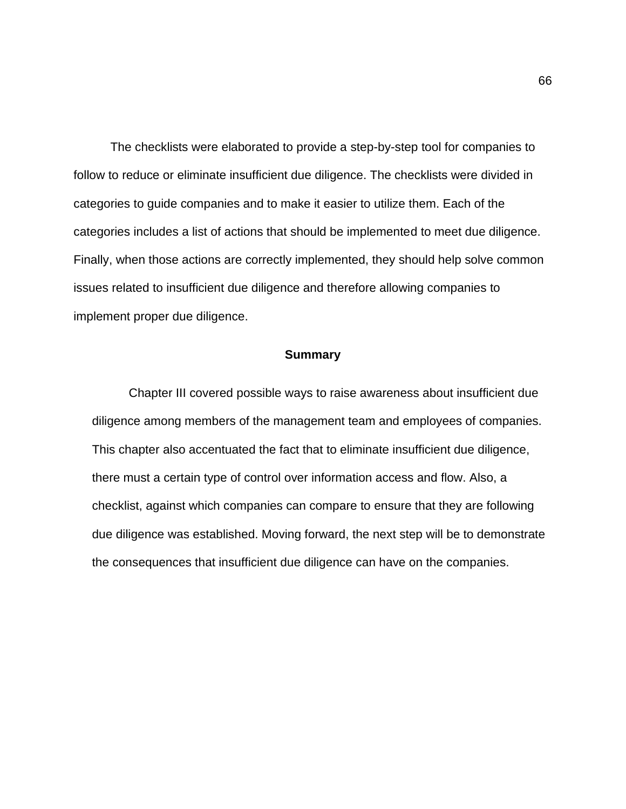The checklists were elaborated to provide a step-by-step tool for companies to follow to reduce or eliminate insufficient due diligence. The checklists were divided in categories to guide companies and to make it easier to utilize them. Each of the categories includes a list of actions that should be implemented to meet due diligence. Finally, when those actions are correctly implemented, they should help solve common issues related to insufficient due diligence and therefore allowing companies to implement proper due diligence.

# **Summary**

Chapter III covered possible ways to raise awareness about insufficient due diligence among members of the management team and employees of companies. This chapter also accentuated the fact that to eliminate insufficient due diligence, there must a certain type of control over information access and flow. Also, a checklist, against which companies can compare to ensure that they are following due diligence was established. Moving forward, the next step will be to demonstrate the consequences that insufficient due diligence can have on the companies.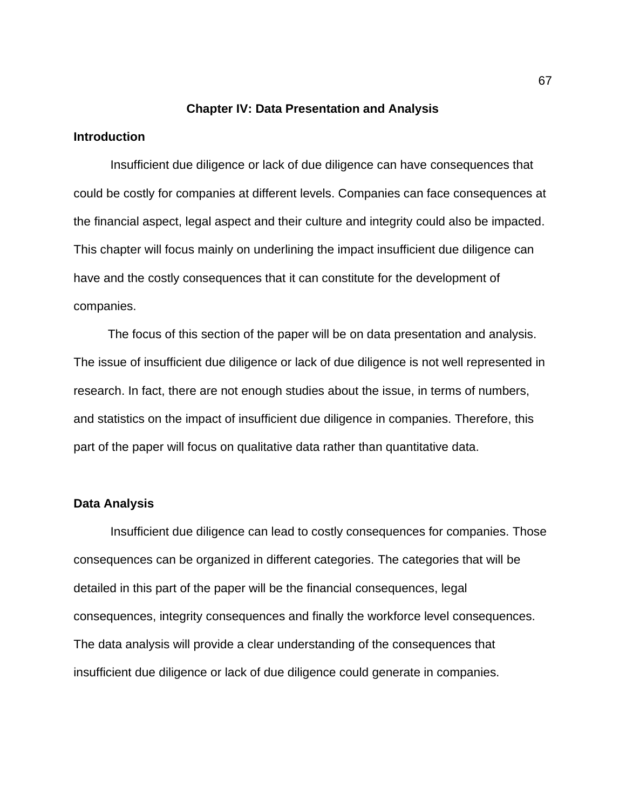## **Chapter IV: Data Presentation and Analysis**

# **Introduction**

Insufficient due diligence or lack of due diligence can have consequences that could be costly for companies at different levels. Companies can face consequences at the financial aspect, legal aspect and their culture and integrity could also be impacted. This chapter will focus mainly on underlining the impact insufficient due diligence can have and the costly consequences that it can constitute for the development of companies.

 The focus of this section of the paper will be on data presentation and analysis. The issue of insufficient due diligence or lack of due diligence is not well represented in research. In fact, there are not enough studies about the issue, in terms of numbers, and statistics on the impact of insufficient due diligence in companies. Therefore, this part of the paper will focus on qualitative data rather than quantitative data.

## **Data Analysis**

Insufficient due diligence can lead to costly consequences for companies. Those consequences can be organized in different categories. The categories that will be detailed in this part of the paper will be the financial consequences, legal consequences, integrity consequences and finally the workforce level consequences. The data analysis will provide a clear understanding of the consequences that insufficient due diligence or lack of due diligence could generate in companies.

67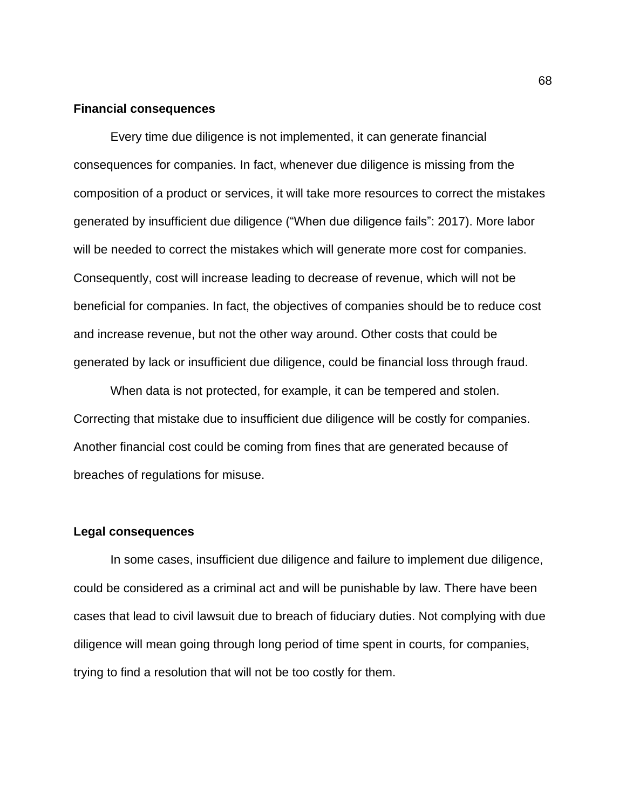### **Financial consequences**

Every time due diligence is not implemented, it can generate financial consequences for companies. In fact, whenever due diligence is missing from the composition of a product or services, it will take more resources to correct the mistakes generated by insufficient due diligence ("When due diligence fails": 2017). More labor will be needed to correct the mistakes which will generate more cost for companies. Consequently, cost will increase leading to decrease of revenue, which will not be beneficial for companies. In fact, the objectives of companies should be to reduce cost and increase revenue, but not the other way around. Other costs that could be generated by lack or insufficient due diligence, could be financial loss through fraud.

When data is not protected, for example, it can be tempered and stolen. Correcting that mistake due to insufficient due diligence will be costly for companies. Another financial cost could be coming from fines that are generated because of breaches of regulations for misuse.

#### **Legal consequences**

In some cases, insufficient due diligence and failure to implement due diligence, could be considered as a criminal act and will be punishable by law. There have been cases that lead to civil lawsuit due to breach of fiduciary duties. Not complying with due diligence will mean going through long period of time spent in courts, for companies, trying to find a resolution that will not be too costly for them.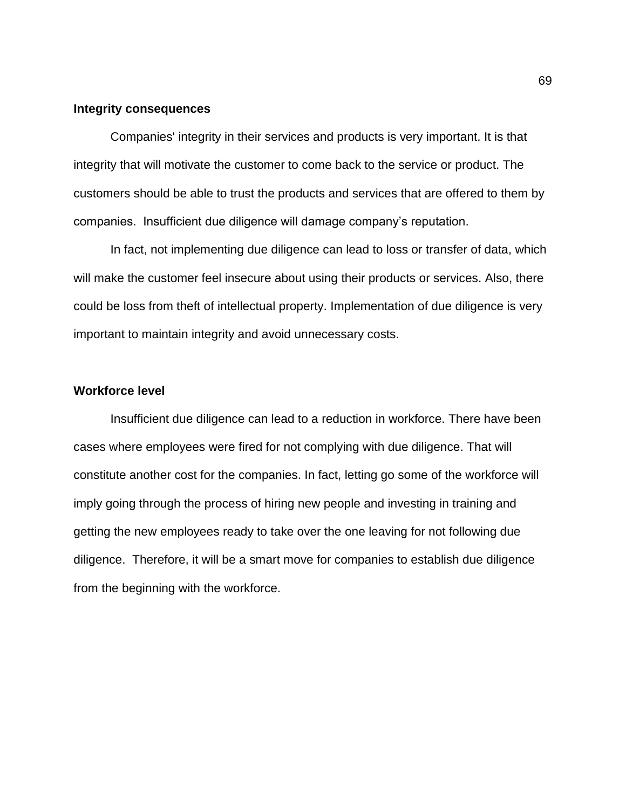## **Integrity consequences**

Companies' integrity in their services and products is very important. It is that integrity that will motivate the customer to come back to the service or product. The customers should be able to trust the products and services that are offered to them by companies. Insufficient due diligence will damage company's reputation.

In fact, not implementing due diligence can lead to loss or transfer of data, which will make the customer feel insecure about using their products or services. Also, there could be loss from theft of intellectual property. Implementation of due diligence is very important to maintain integrity and avoid unnecessary costs.

# **Workforce level**

Insufficient due diligence can lead to a reduction in workforce. There have been cases where employees were fired for not complying with due diligence. That will constitute another cost for the companies. In fact, letting go some of the workforce will imply going through the process of hiring new people and investing in training and getting the new employees ready to take over the one leaving for not following due diligence. Therefore, it will be a smart move for companies to establish due diligence from the beginning with the workforce.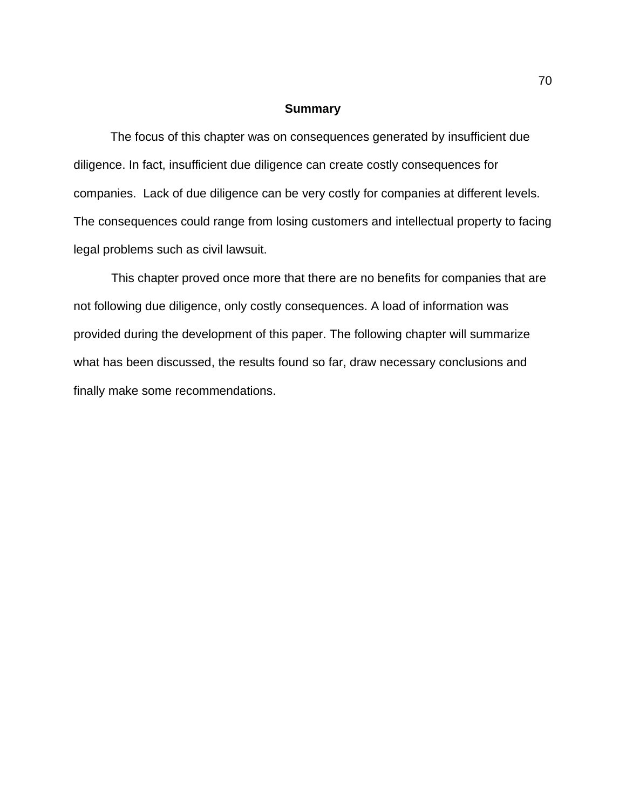## **Summary**

The focus of this chapter was on consequences generated by insufficient due diligence. In fact, insufficient due diligence can create costly consequences for companies. Lack of due diligence can be very costly for companies at different levels. The consequences could range from losing customers and intellectual property to facing legal problems such as civil lawsuit.

 This chapter proved once more that there are no benefits for companies that are not following due diligence, only costly consequences. A load of information was provided during the development of this paper. The following chapter will summarize what has been discussed, the results found so far, draw necessary conclusions and finally make some recommendations.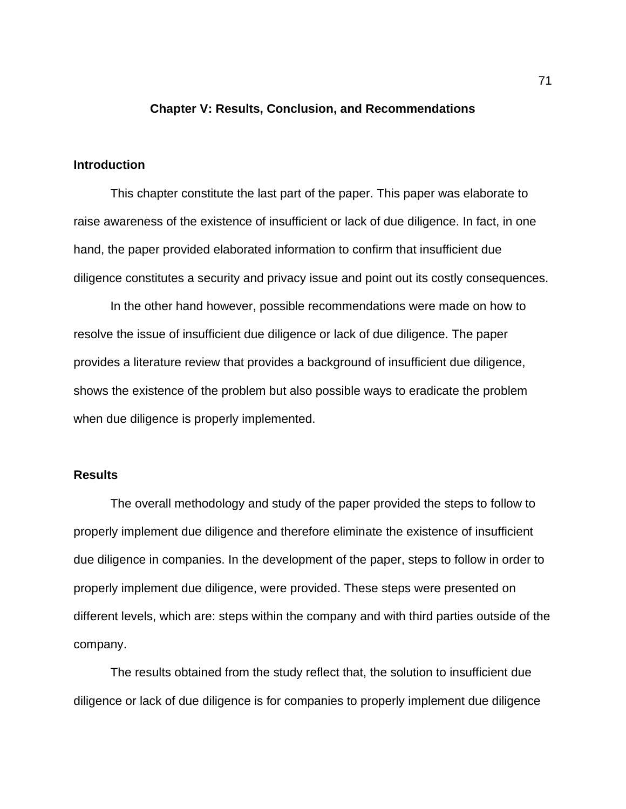# **Chapter V: Results, Conclusion, and Recommendations**

## **Introduction**

This chapter constitute the last part of the paper. This paper was elaborate to raise awareness of the existence of insufficient or lack of due diligence. In fact, in one hand, the paper provided elaborated information to confirm that insufficient due diligence constitutes a security and privacy issue and point out its costly consequences.

In the other hand however, possible recommendations were made on how to resolve the issue of insufficient due diligence or lack of due diligence. The paper provides a literature review that provides a background of insufficient due diligence, shows the existence of the problem but also possible ways to eradicate the problem when due diligence is properly implemented.

# **Results**

The overall methodology and study of the paper provided the steps to follow to properly implement due diligence and therefore eliminate the existence of insufficient due diligence in companies. In the development of the paper, steps to follow in order to properly implement due diligence, were provided. These steps were presented on different levels, which are: steps within the company and with third parties outside of the company.

The results obtained from the study reflect that, the solution to insufficient due diligence or lack of due diligence is for companies to properly implement due diligence

71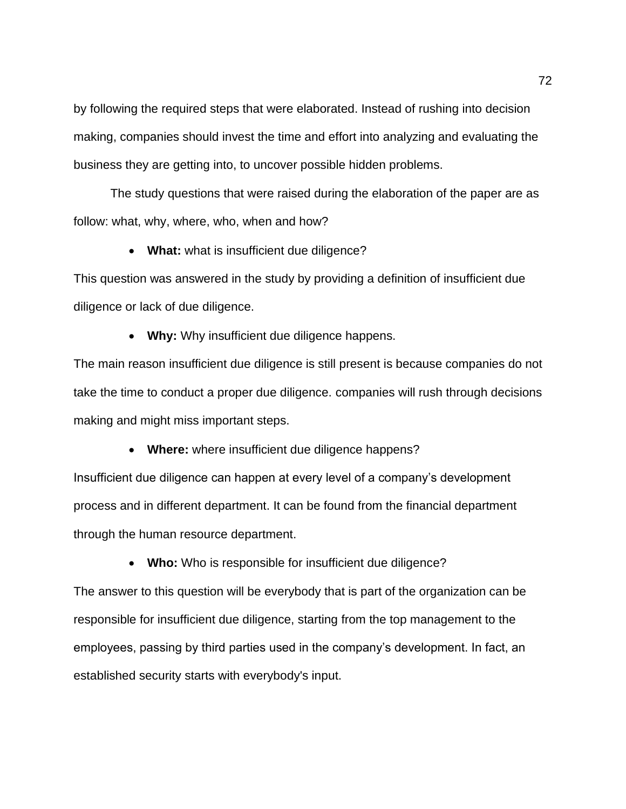by following the required steps that were elaborated. Instead of rushing into decision making, companies should invest the time and effort into analyzing and evaluating the business they are getting into, to uncover possible hidden problems.

The study questions that were raised during the elaboration of the paper are as follow: what, why, where, who, when and how?

• **What:** what is insufficient due diligence?

This question was answered in the study by providing a definition of insufficient due diligence or lack of due diligence.

• **Why:** Why insufficient due diligence happens.

The main reason insufficient due diligence is still present is because companies do not take the time to conduct a proper due diligence. companies will rush through decisions making and might miss important steps.

• **Where:** where insufficient due diligence happens?

Insufficient due diligence can happen at every level of a company's development process and in different department. It can be found from the financial department through the human resource department.

• **Who:** Who is responsible for insufficient due diligence?

The answer to this question will be everybody that is part of the organization can be responsible for insufficient due diligence, starting from the top management to the employees, passing by third parties used in the company's development. In fact, an established security starts with everybody's input.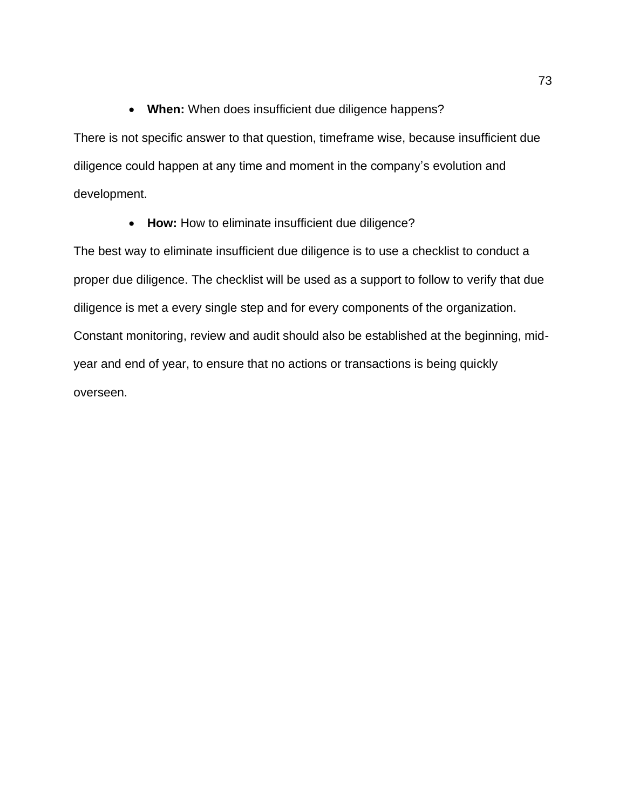## • **When:** When does insufficient due diligence happens?

There is not specific answer to that question, timeframe wise, because insufficient due diligence could happen at any time and moment in the company's evolution and development.

• **How:** How to eliminate insufficient due diligence?

The best way to eliminate insufficient due diligence is to use a checklist to conduct a proper due diligence. The checklist will be used as a support to follow to verify that due diligence is met a every single step and for every components of the organization. Constant monitoring, review and audit should also be established at the beginning, midyear and end of year, to ensure that no actions or transactions is being quickly overseen.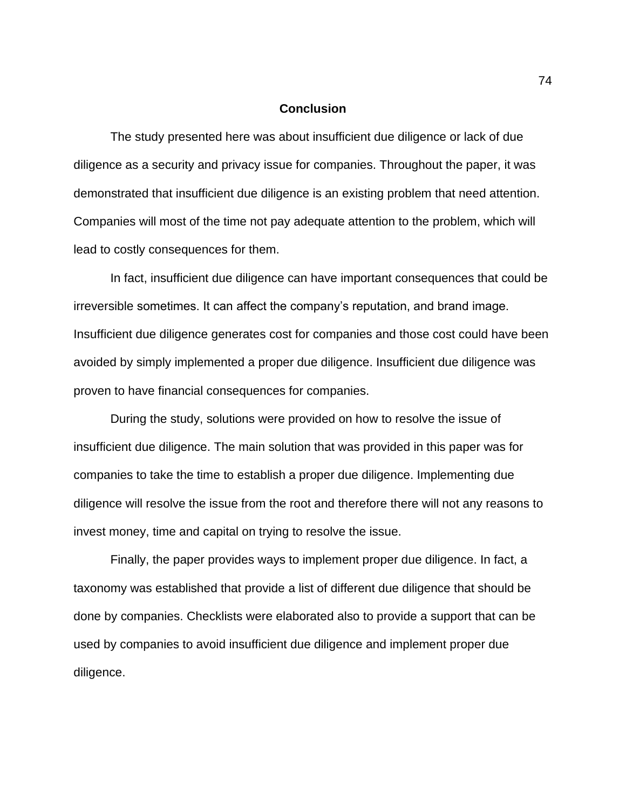## **Conclusion**

The study presented here was about insufficient due diligence or lack of due diligence as a security and privacy issue for companies. Throughout the paper, it was demonstrated that insufficient due diligence is an existing problem that need attention. Companies will most of the time not pay adequate attention to the problem, which will lead to costly consequences for them.

In fact, insufficient due diligence can have important consequences that could be irreversible sometimes. It can affect the company's reputation, and brand image. Insufficient due diligence generates cost for companies and those cost could have been avoided by simply implemented a proper due diligence. Insufficient due diligence was proven to have financial consequences for companies.

During the study, solutions were provided on how to resolve the issue of insufficient due diligence. The main solution that was provided in this paper was for companies to take the time to establish a proper due diligence. Implementing due diligence will resolve the issue from the root and therefore there will not any reasons to invest money, time and capital on trying to resolve the issue.

Finally, the paper provides ways to implement proper due diligence. In fact, a taxonomy was established that provide a list of different due diligence that should be done by companies. Checklists were elaborated also to provide a support that can be used by companies to avoid insufficient due diligence and implement proper due diligence.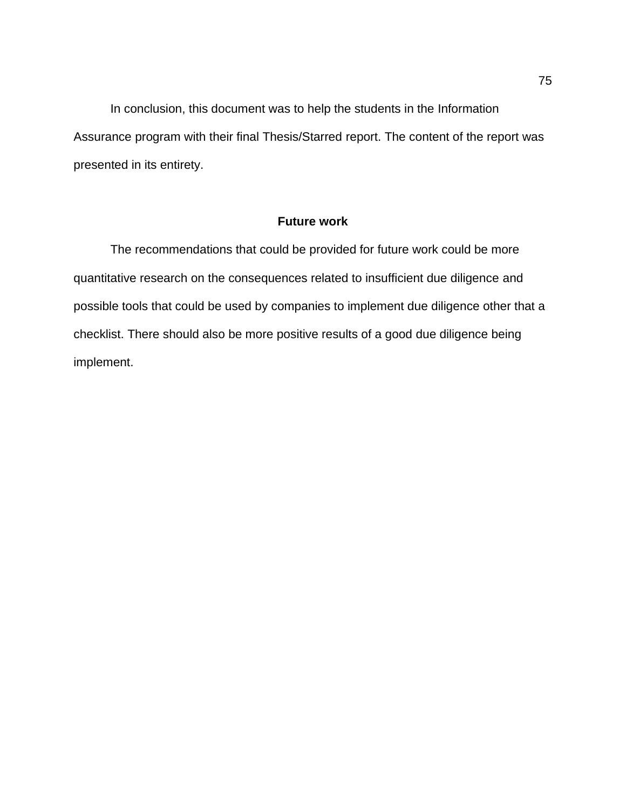In conclusion, this document was to help the students in the Information Assurance program with their final Thesis/Starred report. The content of the report was presented in its entirety.

## **Future work**

The recommendations that could be provided for future work could be more quantitative research on the consequences related to insufficient due diligence and possible tools that could be used by companies to implement due diligence other that a checklist. There should also be more positive results of a good due diligence being implement.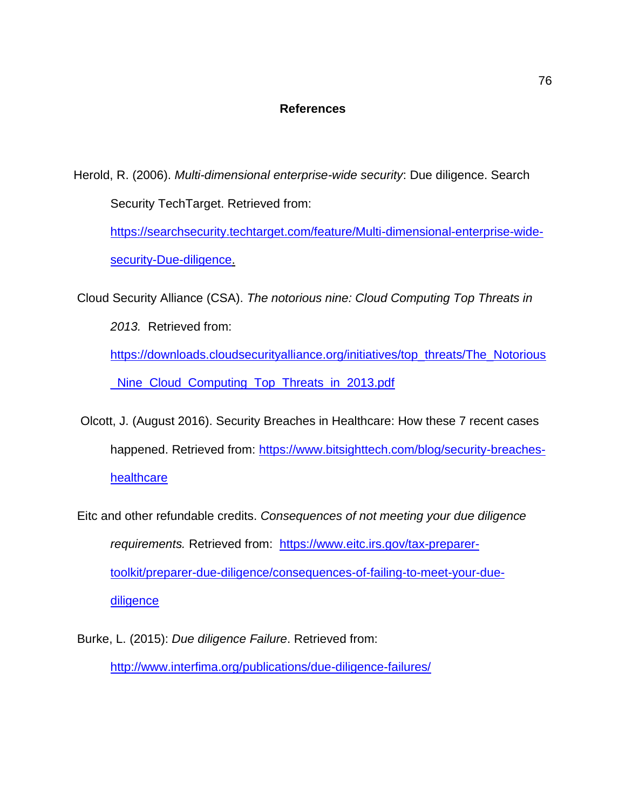## **References**

Herold, R. (2006). *Multi-dimensional enterprise-wide security*: Due diligence. Search Security TechTarget. Retrieved from:

[https://searchsecurity.techtarget.com/feature/Multi-dimensional-enterprise-wide](https://searchsecurity.techtarget.com/feature/Multi-dimensional-enterprise-wide-security-Due-diligence)[security-Due-diligence.](https://searchsecurity.techtarget.com/feature/Multi-dimensional-enterprise-wide-security-Due-diligence)

Cloud Security Alliance (CSA). *The notorious nine: Cloud Computing Top Threats in* 

*2013.* Retrieved from:

[https://downloads.cloudsecurityalliance.org/initiatives/top\\_threats/The\\_Notorious](https://downloads.cloudsecurityalliance.org/initiatives/top_threats/The_Notorious_Nine_Cloud_Computing_Top_Threats_in_2013.pdf) [\\_Nine\\_Cloud\\_Computing\\_Top\\_Threats\\_in\\_2013.pdf](https://downloads.cloudsecurityalliance.org/initiatives/top_threats/The_Notorious_Nine_Cloud_Computing_Top_Threats_in_2013.pdf)

 Olcott, J. (August 2016). Security Breaches in Healthcare: How these 7 recent cases happened. Retrieved from: [https://www.bitsighttech.com/blog/security-breaches](https://www.bitsighttech.com/blog/security-breaches-healthcare)**[healthcare](https://www.bitsighttech.com/blog/security-breaches-healthcare)** 

Eitc and other refundable credits. *Consequences of not meeting your due diligence requirements.* Retrieved from: [https://www.eitc.irs.gov/tax-preparer](https://www.eitc.irs.gov/tax-preparer-toolkit/preparer-due-diligence/consequences-of-failing-to-meet-your-due-diligence)[toolkit/preparer-due-diligence/consequences-of-failing-to-meet-your-due](https://www.eitc.irs.gov/tax-preparer-toolkit/preparer-due-diligence/consequences-of-failing-to-meet-your-due-diligence)**[diligence](https://www.eitc.irs.gov/tax-preparer-toolkit/preparer-due-diligence/consequences-of-failing-to-meet-your-due-diligence)** 

Burke, L. (2015): *Due diligence Failure*. Retrieved from: <http://www.interfima.org/publications/due-diligence-failures/>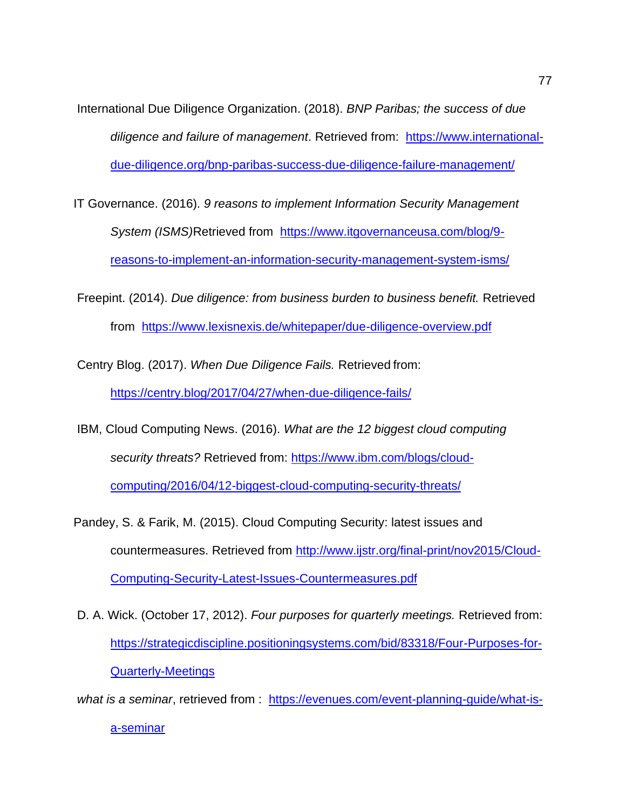International Due Diligence Organization. (2018). *BNP Paribas; the success of due diligence and failure of management*. Retrieved from: [https://www.international](https://www.international-due-diligence.org/bnp-paribas-success-due-diligence-failure-management/)[due-diligence.org/bnp-paribas-success-due-diligence-failure-management/](https://www.international-due-diligence.org/bnp-paribas-success-due-diligence-failure-management/)

- IT Governance. (2016). *9 reasons to implement Information Security Management System (ISMS)*Retrieved from [https://www.itgovernanceusa.com/blog/9](https://www.itgovernanceusa.com/blog/9-reasons-to-implement-an-information-security-management-system-isms/) [reasons-to-implement-an-information-security-management-system-isms/](https://www.itgovernanceusa.com/blog/9-reasons-to-implement-an-information-security-management-system-isms/)
- Freepint. (2014). *Due diligence: from business burden to business benefit.* Retrieved from <https://www.lexisnexis.de/whitepaper/due-diligence-overview.pdf>

Centry Blog. (2017). *When Due Diligence Fails.* Retrieved from: <https://centry.blog/2017/04/27/when-due-diligence-fails/>

IBM, Cloud Computing News. (2016). *What are the 12 biggest cloud computing security threats?* Retrieved from: [https://www.ibm.com/blogs/cloud-](https://www.ibm.com/blogs/cloud-computing/2016/04/12-biggest-cloud-computing-security-threats/)

[computing/2016/04/12-biggest-cloud-computing-security-threats/](https://www.ibm.com/blogs/cloud-computing/2016/04/12-biggest-cloud-computing-security-threats/)

- Pandey, S. & Farik, M. (2015). Cloud Computing Security: latest issues and countermeasures. Retrieved from [http://www.ijstr.org/final-print/nov2015/Cloud-](http://www.ijstr.org/final-print/nov2015/Cloud-Computing-Security-Latest-Issues-Countermeasures.pdf)[Computing-Security-Latest-Issues-Countermeasures.pdf](http://www.ijstr.org/final-print/nov2015/Cloud-Computing-Security-Latest-Issues-Countermeasures.pdf)
- D. A. Wick. (October 17, 2012). *Four purposes for quarterly meetings.* Retrieved from: [https://strategicdiscipline.positioningsystems.com/bid/83318/Four-Purposes-for-](https://strategicdiscipline.positioningsystems.com/bid/83318/Four-Purposes-for-Quarterly-Meetings)[Quarterly-Meetings](https://strategicdiscipline.positioningsystems.com/bid/83318/Four-Purposes-for-Quarterly-Meetings)

*what is a seminar*, [retrieved from : https://evenues.com/event-planning-guide/what-is](http://hhayttps/evenues.com/event-planning-guide/what-is-a-seminar)[a-seminar](http://hhayttps/evenues.com/event-planning-guide/what-is-a-seminar)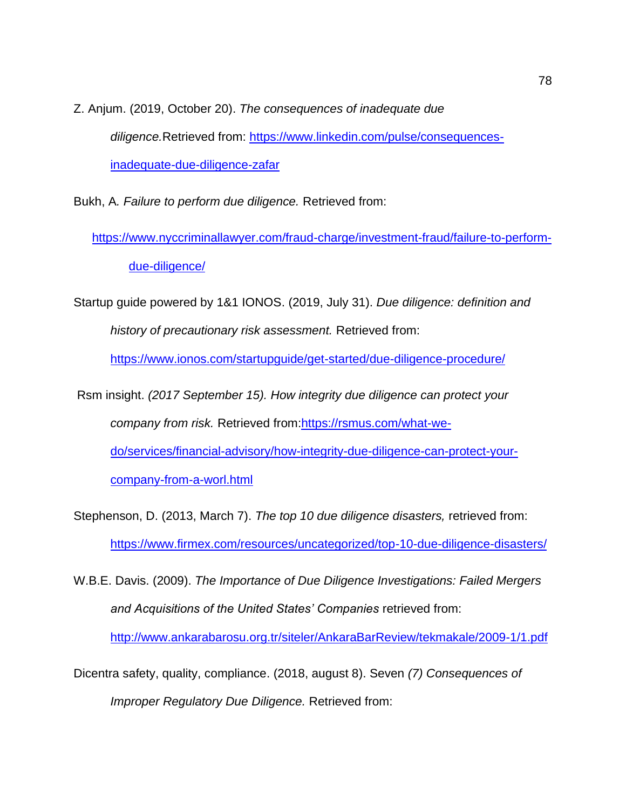Z. Anjum. (2019, October 20). *The consequences of inadequate due diligence.*Retrieved from: [https://www.linkedin.com/pulse/consequences](https://www.linkedin.com/pulse/consequences-inadequate-due-diligence-zafar)[inadequate-due-diligence-zafar](https://www.linkedin.com/pulse/consequences-inadequate-due-diligence-zafar)

Bukh, A*. Failure to perform due diligence.* Retrieved from:

[https://www.nyccriminallawyer.com/fraud-charge/investment-fraud/failure-to-perform](https://www.nyccriminallawyer.com/fraud-charge/investment-fraud/failure-to-perform-due-diligence/)[due-diligence/](https://www.nyccriminallawyer.com/fraud-charge/investment-fraud/failure-to-perform-due-diligence/)

Startup guide powered by 1&1 IONOS. (2019, July 31). *Due diligence: definition and history of precautionary risk assessment.* Retrieved from:

<https://www.ionos.com/startupguide/get-started/due-diligence-procedure/>

Rsm insight. *(2017 September 15). How integrity due diligence can protect your company from risk.* Retrieved from[:https://rsmus.com/what-we](https://rsmus.com/what-we-do/services/financial-advisory/how-integrity-due-diligence-can-protect-your-company-from-a-worl.html)[do/services/financial-advisory/how-integrity-due-diligence-can-protect-your](https://rsmus.com/what-we-do/services/financial-advisory/how-integrity-due-diligence-can-protect-your-company-from-a-worl.html)[company-from-a-worl.html](https://rsmus.com/what-we-do/services/financial-advisory/how-integrity-due-diligence-can-protect-your-company-from-a-worl.html)

Stephenson, D. (2013, March 7). *The top 10 due diligence disasters,* retrieved from: <https://www.firmex.com/resources/uncategorized/top-10-due-diligence-disasters/>

W.B.E. Davis. (2009). *The Importance of Due Diligence Investigations: Failed Mergers and Acquisitions of the United States' Companies* retrieved from:

<http://www.ankarabarosu.org.tr/siteler/AnkaraBarReview/tekmakale/2009-1/1.pdf>

Dicentra safety, quality, compliance. (2018, august 8). Seven *(7) Consequences of Improper Regulatory Due Diligence.* Retrieved from: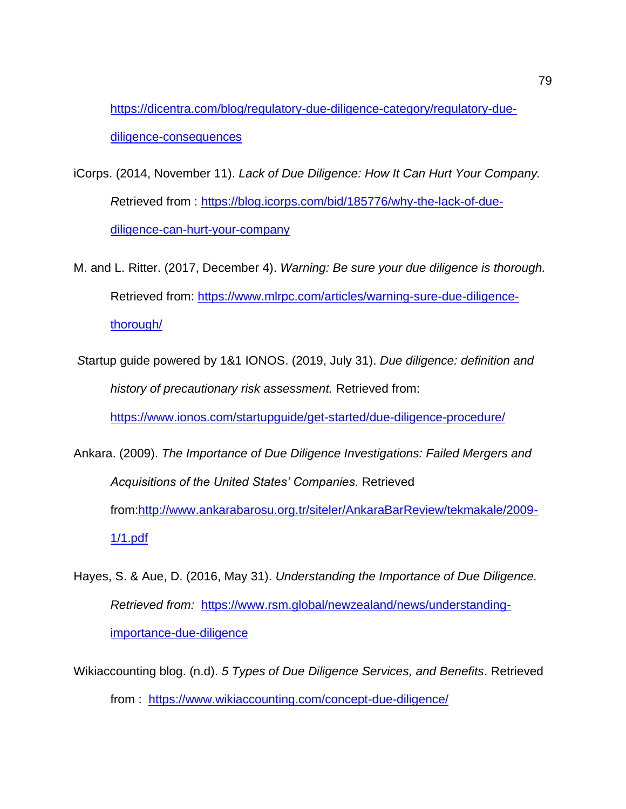[https://dicentra.com/blog/regulatory-due-diligence-category/regulatory-due](https://dicentra.com/blog/regulatory-due-diligence-category/regulatory-due-diligence-consequences)[diligence-consequences](https://dicentra.com/blog/regulatory-due-diligence-category/regulatory-due-diligence-consequences)

- iCorps. (2014, November 11). *Lack of Due Diligence: How It Can Hurt Your Company. R*etrieved from : [https://blog.icorps.com/bid/185776/why-the-lack-of-due](https://blog.icorps.com/bid/185776/why-the-lack-of-due-diligence-can-hurt-your-company)[diligence-can-hurt-your-company](https://blog.icorps.com/bid/185776/why-the-lack-of-due-diligence-can-hurt-your-company)
- M. and L. Ritter. (2017, December 4). *Warning: Be sure your due diligence is thorough.*  Retrieved from: [https://www.mlrpc.com/articles/warning-sure-due-diligence](https://www.mlrpc.com/articles/warning-sure-due-diligence-thorough/)[thorough/](https://www.mlrpc.com/articles/warning-sure-due-diligence-thorough/)
- *S*tartup guide powered by 1&1 IONOS. (2019, July 31). *Due diligence: definition and history of precautionary risk assessment.* Retrieved from:

<https://www.ionos.com/startupguide/get-started/due-diligence-procedure/>

- Ankara. (2009). *The Importance of Due Diligence Investigations: Failed Mergers and Acquisitions of the United States' Companies.* Retrieved from[:http://www.ankarabarosu.org.tr/siteler/AnkaraBarReview/tekmakale/2009-](http://www.ankarabarosu.org.tr/siteler/AnkaraBarReview/tekmakale/2009-1/1.pdf) [1/1.pdf](http://www.ankarabarosu.org.tr/siteler/AnkaraBarReview/tekmakale/2009-1/1.pdf)
- Hayes, S. & Aue, D. (2016, May 31). *Understanding the Importance of Due Diligence. Retrieved from:* [https://www.rsm.global/newzealand/news/understanding](https://www.rsm.global/newzealand/news/understanding-importance-due-diligence)[importance-due-diligence](https://www.rsm.global/newzealand/news/understanding-importance-due-diligence)
- Wikiaccounting blog. (n.d). *5 Types of Due Diligence Services, and Benefits*. Retrieved from : <https://www.wikiaccounting.com/concept-due-diligence/>